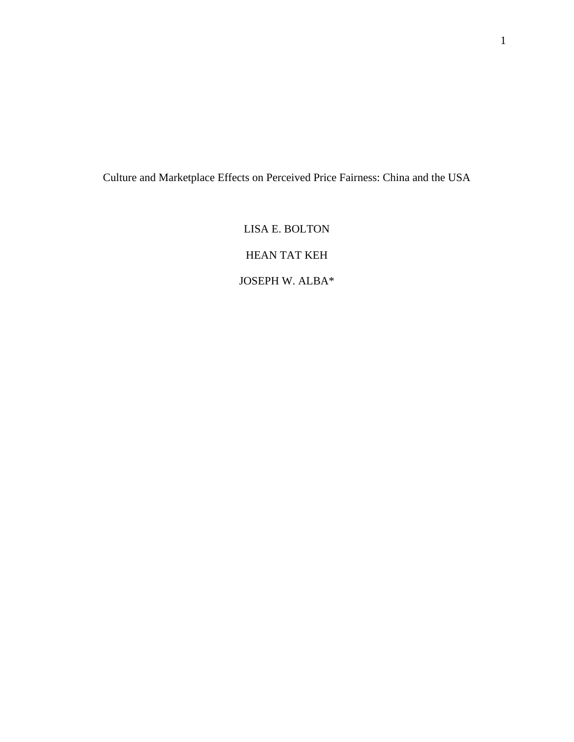Culture and Marketplace Effects on Perceived Price Fairness: China and the USA

LISA E. BOLTON HEAN TAT KEH JOSEPH W. ALBA\*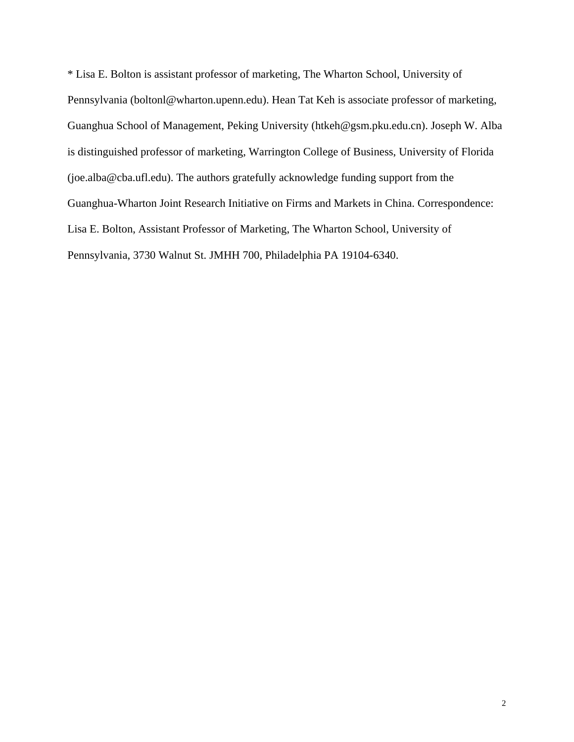\* Lisa E. Bolton is assistant professor of marketing, The Wharton School, University of Pennsylvania (boltonl@wharton.upenn.edu). Hean Tat Keh is associate professor of marketing, Guanghua School of Management, Peking University (htkeh@gsm.pku.edu.cn). Joseph W. Alba is distinguished professor of marketing, Warrington College of Business, University of Florida (joe.alba@cba.ufl.edu). The authors gratefully acknowledge funding support from the Guanghua-Wharton Joint Research Initiative on Firms and Markets in China. Correspondence: Lisa E. Bolton, Assistant Professor of Marketing, The Wharton School, University of Pennsylvania, 3730 Walnut St. JMHH 700, Philadelphia PA 19104-6340.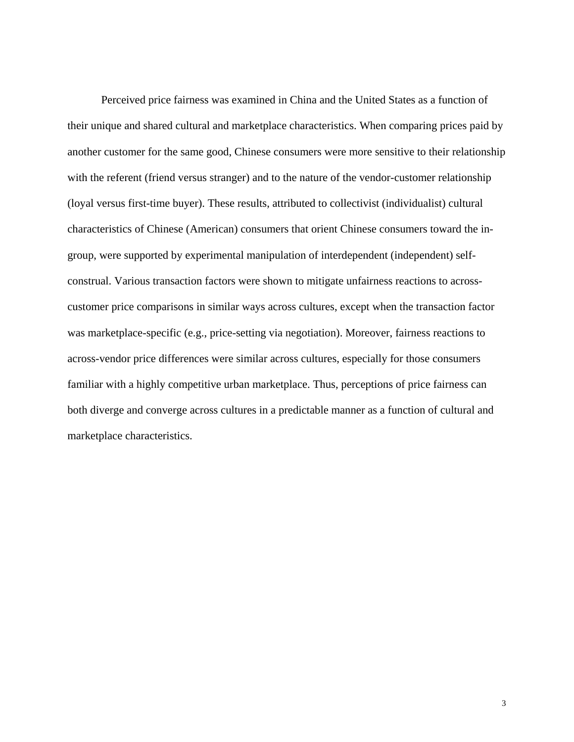Perceived price fairness was examined in China and the United States as a function of their unique and shared cultural and marketplace characteristics. When comparing prices paid by another customer for the same good, Chinese consumers were more sensitive to their relationship with the referent (friend versus stranger) and to the nature of the vendor-customer relationship (loyal versus first-time buyer). These results, attributed to collectivist (individualist) cultural characteristics of Chinese (American) consumers that orient Chinese consumers toward the ingroup, were supported by experimental manipulation of interdependent (independent) selfconstrual. Various transaction factors were shown to mitigate unfairness reactions to acrosscustomer price comparisons in similar ways across cultures, except when the transaction factor was marketplace-specific (e.g., price-setting via negotiation). Moreover, fairness reactions to across-vendor price differences were similar across cultures, especially for those consumers familiar with a highly competitive urban marketplace. Thus, perceptions of price fairness can both diverge and converge across cultures in a predictable manner as a function of cultural and marketplace characteristics.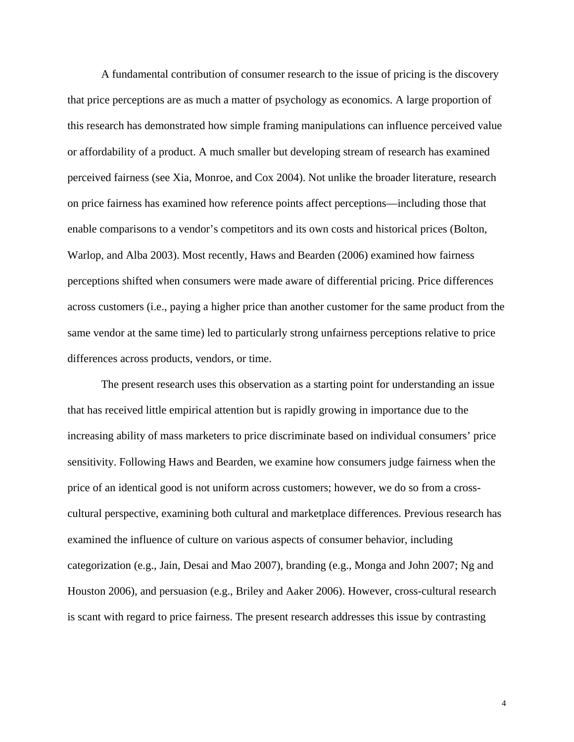A fundamental contribution of consumer research to the issue of pricing is the discovery that price perceptions are as much a matter of psychology as economics. A large proportion of this research has demonstrated how simple framing manipulations can influence perceived value or affordability of a product. A much smaller but developing stream of research has examined perceived fairness (see Xia, Monroe, and Cox 2004). Not unlike the broader literature, research on price fairness has examined how reference points affect perceptions—including those that enable comparisons to a vendor's competitors and its own costs and historical prices (Bolton, Warlop, and Alba 2003). Most recently, Haws and Bearden (2006) examined how fairness perceptions shifted when consumers were made aware of differential pricing. Price differences across customers (i.e., paying a higher price than another customer for the same product from the same vendor at the same time) led to particularly strong unfairness perceptions relative to price differences across products, vendors, or time.

The present research uses this observation as a starting point for understanding an issue that has received little empirical attention but is rapidly growing in importance due to the increasing ability of mass marketers to price discriminate based on individual consumers' price sensitivity. Following Haws and Bearden, we examine how consumers judge fairness when the price of an identical good is not uniform across customers; however, we do so from a crosscultural perspective, examining both cultural and marketplace differences. Previous research has examined the influence of culture on various aspects of consumer behavior, including categorization (e.g., Jain, Desai and Mao 2007), branding (e.g., Monga and John 2007; Ng and Houston 2006), and persuasion (e.g., Briley and Aaker 2006). However, cross-cultural research is scant with regard to price fairness. The present research addresses this issue by contrasting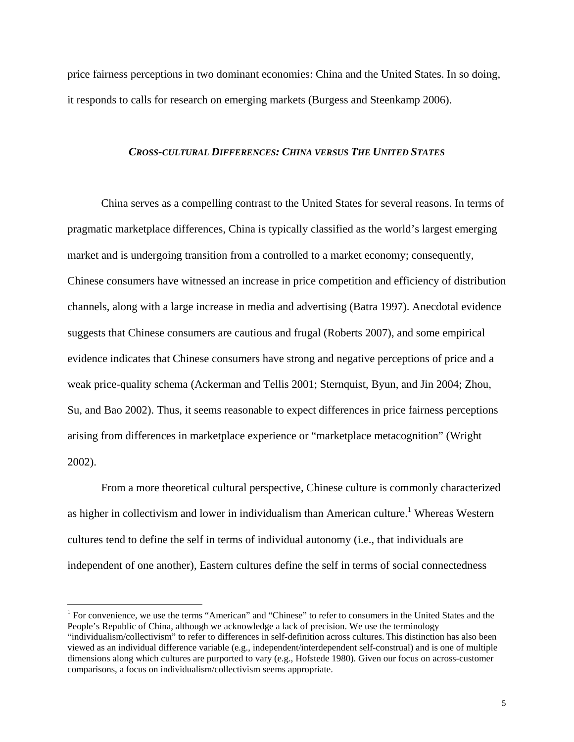price fairness perceptions in two dominant economies: China and the United States. In so doing, it responds to calls for research on emerging markets (Burgess and Steenkamp 2006).

## *CROSS-CULTURAL DIFFERENCES: CHINA VERSUS THE UNITED STATES*

China serves as a compelling contrast to the United States for several reasons. In terms of pragmatic marketplace differences, China is typically classified as the world's largest emerging market and is undergoing transition from a controlled to a market economy; consequently, Chinese consumers have witnessed an increase in price competition and efficiency of distribution channels, along with a large increase in media and advertising (Batra 1997). Anecdotal evidence suggests that Chinese consumers are cautious and frugal (Roberts 2007), and some empirical evidence indicates that Chinese consumers have strong and negative perceptions of price and a weak price-quality schema (Ackerman and Tellis 2001; Sternquist, Byun, and Jin 2004; Zhou, Su, and Bao 2002). Thus, it seems reasonable to expect differences in price fairness perceptions arising from differences in marketplace experience or "marketplace metacognition" (Wright 2002).

From a more theoretical cultural perspective, Chinese culture is commonly characterized as higher in collectivism and lower in individualism than American culture.<sup>1</sup> Whereas Western cultures tend to define the self in terms of individual autonomy (i.e., that individuals are independent of one another), Eastern cultures define the self in terms of social connectedness

 $\overline{a}$ 

<sup>&</sup>lt;sup>1</sup> For convenience, we use the terms "American" and "Chinese" to refer to consumers in the United States and the People's Republic of China, although we acknowledge a lack of precision. We use the terminology

<sup>&</sup>quot;individualism/collectivism" to refer to differences in self-definition across cultures. This distinction has also been viewed as an individual difference variable (e.g., independent/interdependent self-construal) and is one of multiple dimensions along which cultures are purported to vary (e.g., Hofstede 1980). Given our focus on across-customer comparisons, a focus on individualism/collectivism seems appropriate.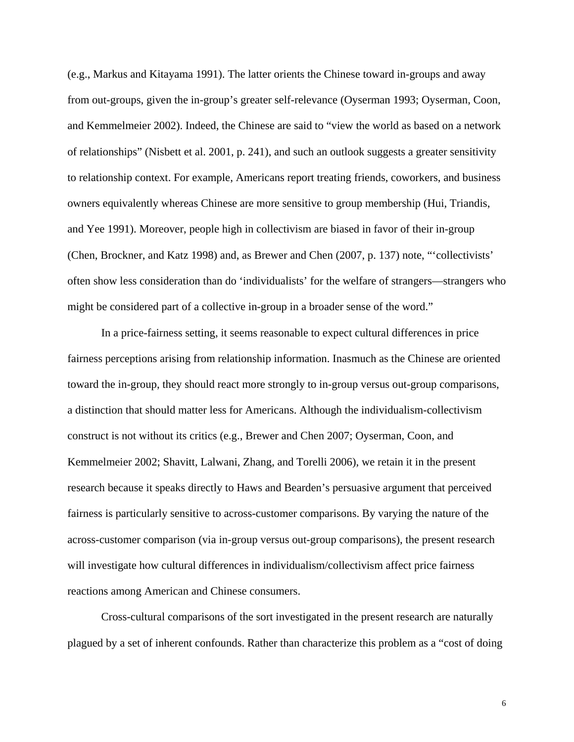(e.g., Markus and Kitayama 1991). The latter orients the Chinese toward in-groups and away from out-groups, given the in-group's greater self-relevance (Oyserman 1993; Oyserman, Coon, and Kemmelmeier 2002). Indeed, the Chinese are said to "view the world as based on a network of relationships" (Nisbett et al. 2001, p. 241), and such an outlook suggests a greater sensitivity to relationship context. For example, Americans report treating friends, coworkers, and business owners equivalently whereas Chinese are more sensitive to group membership (Hui, Triandis, and Yee 1991). Moreover, people high in collectivism are biased in favor of their in-group (Chen, Brockner, and Katz 1998) and, as Brewer and Chen (2007, p. 137) note, "'collectivists' often show less consideration than do 'individualists' for the welfare of strangers—strangers who might be considered part of a collective in-group in a broader sense of the word."

In a price-fairness setting, it seems reasonable to expect cultural differences in price fairness perceptions arising from relationship information. Inasmuch as the Chinese are oriented toward the in-group, they should react more strongly to in-group versus out-group comparisons, a distinction that should matter less for Americans. Although the individualism-collectivism construct is not without its critics (e.g., Brewer and Chen 2007; Oyserman, Coon, and Kemmelmeier 2002; Shavitt, Lalwani, Zhang, and Torelli 2006), we retain it in the present research because it speaks directly to Haws and Bearden's persuasive argument that perceived fairness is particularly sensitive to across-customer comparisons. By varying the nature of the across-customer comparison (via in-group versus out-group comparisons), the present research will investigate how cultural differences in individualism/collectivism affect price fairness reactions among American and Chinese consumers.

Cross-cultural comparisons of the sort investigated in the present research are naturally plagued by a set of inherent confounds. Rather than characterize this problem as a "cost of doing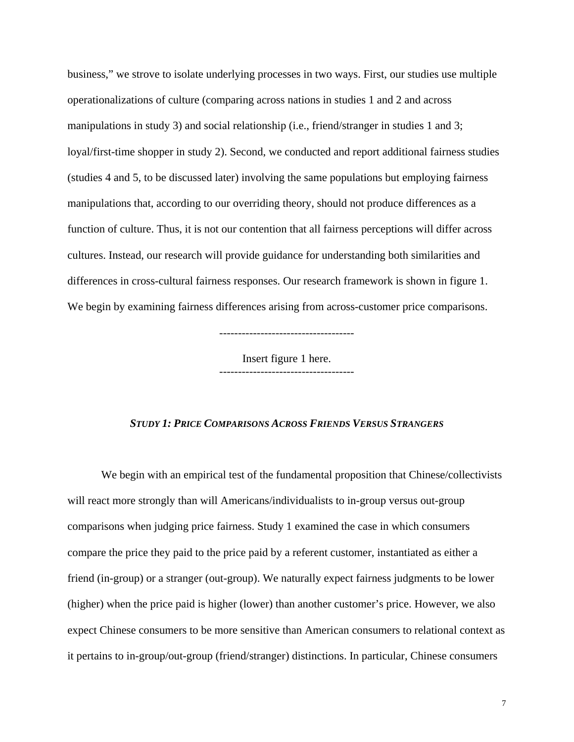business," we strove to isolate underlying processes in two ways. First, our studies use multiple operationalizations of culture (comparing across nations in studies 1 and 2 and across manipulations in study 3) and social relationship (i.e., friend/stranger in studies 1 and 3; loyal/first-time shopper in study 2). Second, we conducted and report additional fairness studies (studies 4 and 5, to be discussed later) involving the same populations but employing fairness manipulations that, according to our overriding theory, should not produce differences as a function of culture. Thus, it is not our contention that all fairness perceptions will differ across cultures. Instead, our research will provide guidance for understanding both similarities and differences in cross-cultural fairness responses. Our research framework is shown in figure 1. We begin by examining fairness differences arising from across-customer price comparisons.

Insert figure 1 here. ------------------------------------

# *STUDY 1: PRICE COMPARISONS ACROSS FRIENDS VERSUS STRANGERS*

We begin with an empirical test of the fundamental proposition that Chinese/collectivists will react more strongly than will Americans/individualists to in-group versus out-group comparisons when judging price fairness. Study 1 examined the case in which consumers compare the price they paid to the price paid by a referent customer, instantiated as either a friend (in-group) or a stranger (out-group). We naturally expect fairness judgments to be lower (higher) when the price paid is higher (lower) than another customer's price. However, we also expect Chinese consumers to be more sensitive than American consumers to relational context as it pertains to in-group/out-group (friend/stranger) distinctions. In particular, Chinese consumers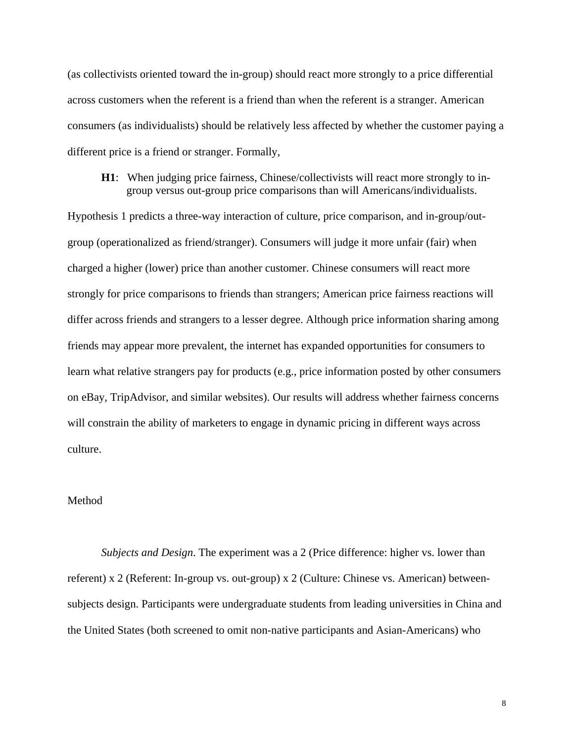(as collectivists oriented toward the in-group) should react more strongly to a price differential across customers when the referent is a friend than when the referent is a stranger. American consumers (as individualists) should be relatively less affected by whether the customer paying a different price is a friend or stranger. Formally,

# **H1**: When judging price fairness, Chinese/collectivists will react more strongly to ingroup versus out-group price comparisons than will Americans/individualists.

Hypothesis 1 predicts a three-way interaction of culture, price comparison, and in-group/outgroup (operationalized as friend/stranger). Consumers will judge it more unfair (fair) when charged a higher (lower) price than another customer. Chinese consumers will react more strongly for price comparisons to friends than strangers; American price fairness reactions will differ across friends and strangers to a lesser degree. Although price information sharing among friends may appear more prevalent, the internet has expanded opportunities for consumers to learn what relative strangers pay for products (e.g., price information posted by other consumers on eBay, TripAdvisor, and similar websites). Our results will address whether fairness concerns will constrain the ability of marketers to engage in dynamic pricing in different ways across culture.

# Method

*Subjects and Design*. The experiment was a 2 (Price difference: higher vs. lower than referent) x 2 (Referent: In-group vs. out-group) x 2 (Culture: Chinese vs. American) betweensubjects design. Participants were undergraduate students from leading universities in China and the United States (both screened to omit non-native participants and Asian-Americans) who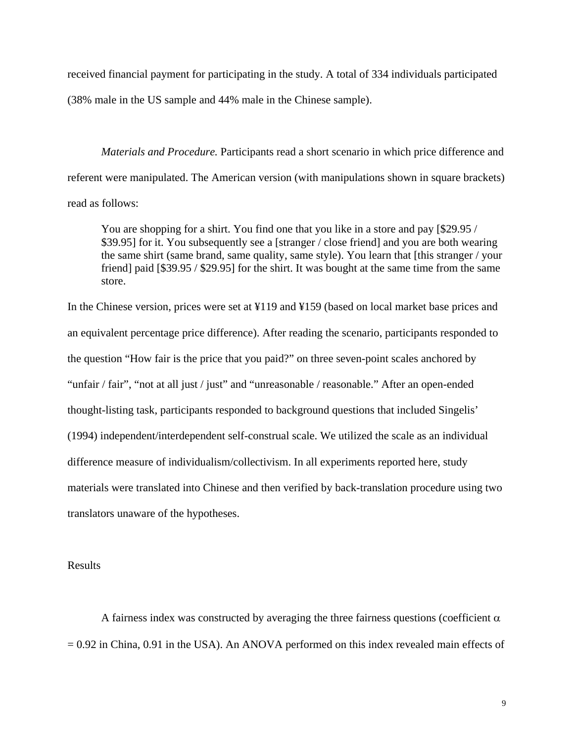received financial payment for participating in the study. A total of 334 individuals participated (38% male in the US sample and 44% male in the Chinese sample).

*Materials and Procedure.* Participants read a short scenario in which price difference and referent were manipulated. The American version (with manipulations shown in square brackets) read as follows:

You are shopping for a shirt. You find one that you like in a store and pay [\$29.95 / \$39.95] for it. You subsequently see a [stranger / close friend] and you are both wearing the same shirt (same brand, same quality, same style). You learn that [this stranger / your friend] paid [\$39.95 / \$29.95] for the shirt. It was bought at the same time from the same store.

In the Chinese version, prices were set at ¥119 and ¥159 (based on local market base prices and an equivalent percentage price difference). After reading the scenario, participants responded to the question "How fair is the price that you paid?" on three seven-point scales anchored by "unfair / fair", "not at all just / just" and "unreasonable / reasonable." After an open-ended thought-listing task, participants responded to background questions that included Singelis' (1994) independent/interdependent self-construal scale. We utilized the scale as an individual difference measure of individualism/collectivism. In all experiments reported here, study materials were translated into Chinese and then verified by back-translation procedure using two translators unaware of the hypotheses.

Results

A fairness index was constructed by averaging the three fairness questions (coefficient  $\alpha$ )  $= 0.92$  in China, 0.91 in the USA). An ANOVA performed on this index revealed main effects of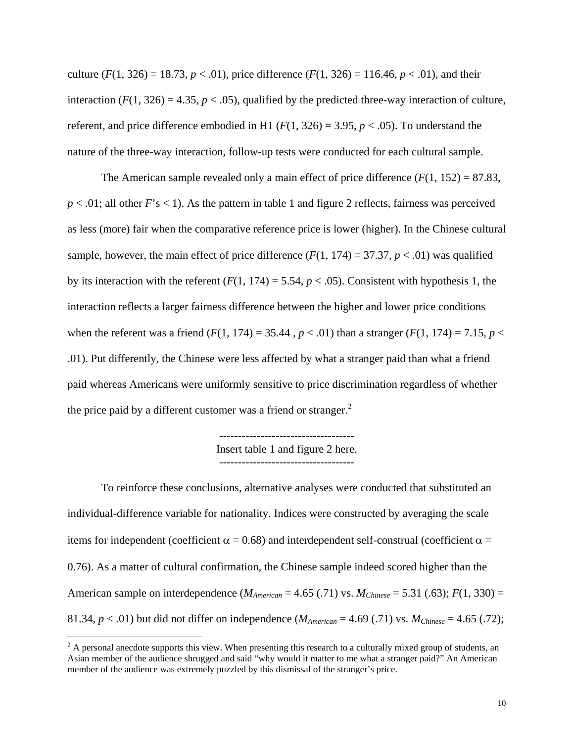culture  $(F(1, 326) = 18.73, p < .01)$ , price difference  $(F(1, 326) = 116.46, p < .01)$ , and their interaction  $(F(1, 326) = 4.35, p < .05)$ , qualified by the predicted three-way interaction of culture, referent, and price difference embodied in H1 ( $F(1, 326) = 3.95$ ,  $p < .05$ ). To understand the nature of the three-way interaction, follow-up tests were conducted for each cultural sample.

The American sample revealed only a main effect of price difference  $(F(1, 152) = 87.83$ ,  $p < .01$ ; all other  $F$ 's  $< 1$ ). As the pattern in table 1 and figure 2 reflects, fairness was perceived as less (more) fair when the comparative reference price is lower (higher). In the Chinese cultural sample, however, the main effect of price difference  $(F(1, 174) = 37.37, p < .01)$  was qualified by its interaction with the referent  $(F(1, 174) = 5.54, p < .05)$ . Consistent with hypothesis 1, the interaction reflects a larger fairness difference between the higher and lower price conditions when the referent was a friend (*F*(1, 174) = 35.44,  $p < .01$ ) than a stranger (*F*(1, 174) = 7.15,  $p <$ .01). Put differently, the Chinese were less affected by what a stranger paid than what a friend paid whereas Americans were uniformly sensitive to price discrimination regardless of whether the price paid by a different customer was a friend or stranger. $<sup>2</sup>$ </sup>

> ------------------------------------ Insert table 1 and figure 2 here.

To reinforce these conclusions, alternative analyses were conducted that substituted an individual-difference variable for nationality. Indices were constructed by averaging the scale items for independent (coefficient  $\alpha = 0.68$ ) and interdependent self-construal (coefficient  $\alpha =$ 0.76). As a matter of cultural confirmation, the Chinese sample indeed scored higher than the American sample on interdependence ( $M_{American} = 4.65$  (.71) vs.  $M_{Chinese} = 5.31$  (.63);  $F(1, 330) =$ 81.34,  $p < .01$ ) but did not differ on independence ( $M_{American} = 4.69$  (.71) vs.  $M_{Chinese} = 4.65$  (.72);

 $2^2$  A personal anecdote supports this view. When presenting this research to a culturally mixed group of students, an Asian member of the audience shrugged and said "why would it matter to me what a stranger paid?" An American member of the audience was extremely puzzled by this dismissal of the stranger's price.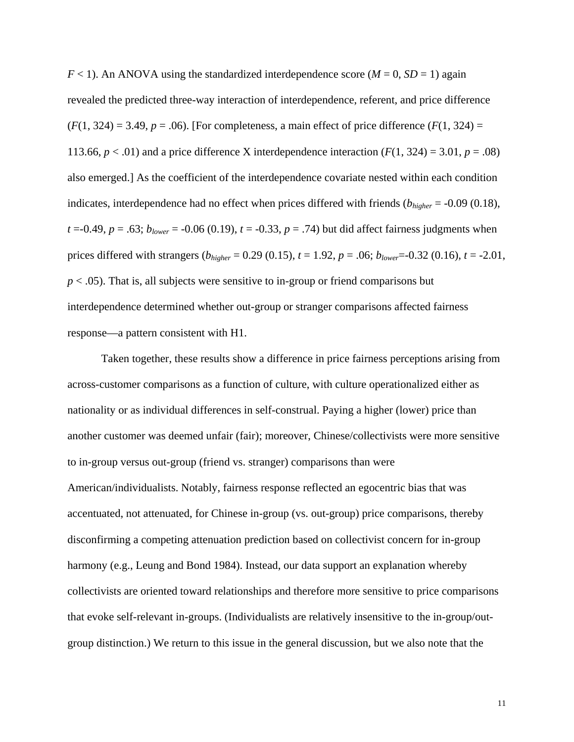$F < 1$ ). An ANOVA using the standardized interdependence score ( $M = 0$ ,  $SD = 1$ ) again revealed the predicted three-way interaction of interdependence, referent, and price difference  $(F(1, 324) = 3.49, p = .06)$ . [For completeness, a main effect of price difference  $(F(1, 324) =$ 113.66,  $p < .01$ ) and a price difference X interdependence interaction  $(F(1, 324) = 3.01, p = .08)$ also emerged.] As the coefficient of the interdependence covariate nested within each condition indicates, interdependence had no effect when prices differed with friends (*bhigher* = -0.09 (0.18), *t* = -0.49, *p* = .63;  $b_{lower}$  = -0.06 (0.19), *t* = -0.33, *p* = .74) but did affect fairness judgments when prices differed with strangers (*bhigher* = 0.29 (0.15), *t* = 1.92, *p* = .06; *blower*=-0.32 (0.16), *t* = -2.01,  $p < .05$ ). That is, all subjects were sensitive to in-group or friend comparisons but interdependence determined whether out-group or stranger comparisons affected fairness response—a pattern consistent with H1.

 Taken together, these results show a difference in price fairness perceptions arising from across-customer comparisons as a function of culture, with culture operationalized either as nationality or as individual differences in self-construal. Paying a higher (lower) price than another customer was deemed unfair (fair); moreover, Chinese/collectivists were more sensitive to in-group versus out-group (friend vs. stranger) comparisons than were American/individualists. Notably, fairness response reflected an egocentric bias that was accentuated, not attenuated, for Chinese in-group (vs. out-group) price comparisons, thereby disconfirming a competing attenuation prediction based on collectivist concern for in-group harmony (e.g., Leung and Bond 1984). Instead, our data support an explanation whereby collectivists are oriented toward relationships and therefore more sensitive to price comparisons that evoke self-relevant in-groups. (Individualists are relatively insensitive to the in-group/outgroup distinction.) We return to this issue in the general discussion, but we also note that the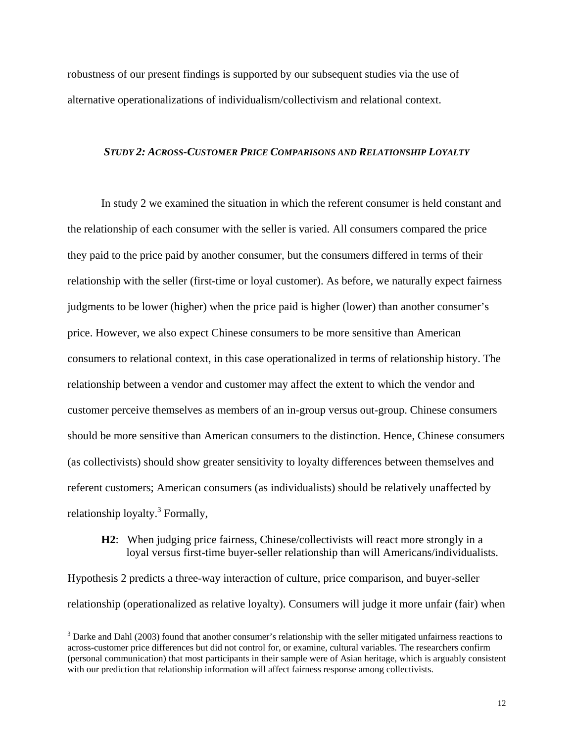robustness of our present findings is supported by our subsequent studies via the use of alternative operationalizations of individualism/collectivism and relational context.

## *STUDY 2: ACROSS-CUSTOMER PRICE COMPARISONS AND RELATIONSHIP LOYALTY*

In study 2 we examined the situation in which the referent consumer is held constant and the relationship of each consumer with the seller is varied. All consumers compared the price they paid to the price paid by another consumer, but the consumers differed in terms of their relationship with the seller (first-time or loyal customer). As before, we naturally expect fairness judgments to be lower (higher) when the price paid is higher (lower) than another consumer's price. However, we also expect Chinese consumers to be more sensitive than American consumers to relational context, in this case operationalized in terms of relationship history. The relationship between a vendor and customer may affect the extent to which the vendor and customer perceive themselves as members of an in-group versus out-group. Chinese consumers should be more sensitive than American consumers to the distinction. Hence, Chinese consumers (as collectivists) should show greater sensitivity to loyalty differences between themselves and referent customers; American consumers (as individualists) should be relatively unaffected by relationship loyalty.<sup>3</sup> Formally,

# **H2**: When judging price fairness, Chinese/collectivists will react more strongly in a loyal versus first-time buyer-seller relationship than will Americans/individualists.

Hypothesis 2 predicts a three-way interaction of culture, price comparison, and buyer-seller relationship (operationalized as relative loyalty). Consumers will judge it more unfair (fair) when

 $\overline{a}$ 

 $3$  Darke and Dahl (2003) found that another consumer's relationship with the seller mitigated unfairness reactions to across-customer price differences but did not control for, or examine, cultural variables. The researchers confirm (personal communication) that most participants in their sample were of Asian heritage, which is arguably consistent with our prediction that relationship information will affect fairness response among collectivists.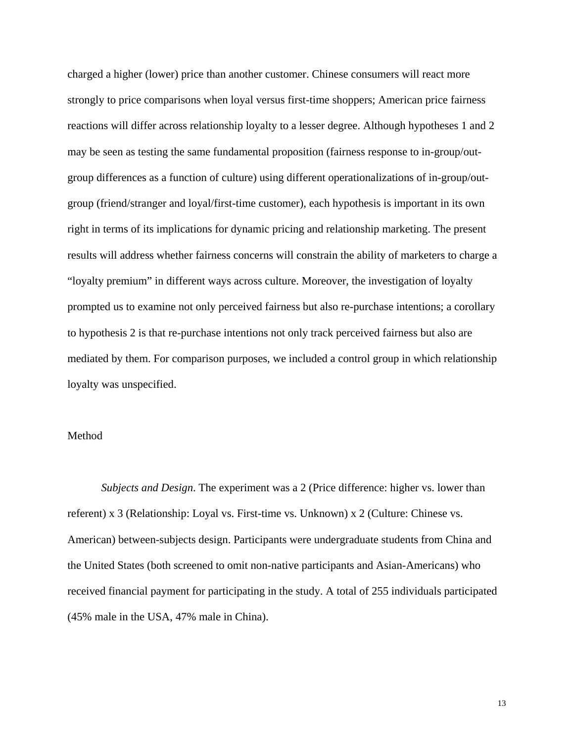charged a higher (lower) price than another customer. Chinese consumers will react more strongly to price comparisons when loyal versus first-time shoppers; American price fairness reactions will differ across relationship loyalty to a lesser degree. Although hypotheses 1 and 2 may be seen as testing the same fundamental proposition (fairness response to in-group/outgroup differences as a function of culture) using different operationalizations of in-group/outgroup (friend/stranger and loyal/first-time customer), each hypothesis is important in its own right in terms of its implications for dynamic pricing and relationship marketing. The present results will address whether fairness concerns will constrain the ability of marketers to charge a "loyalty premium" in different ways across culture. Moreover, the investigation of loyalty prompted us to examine not only perceived fairness but also re-purchase intentions; a corollary to hypothesis 2 is that re-purchase intentions not only track perceived fairness but also are mediated by them. For comparison purposes, we included a control group in which relationship loyalty was unspecified.

## Method

*Subjects and Design*. The experiment was a 2 (Price difference: higher vs. lower than referent) x 3 (Relationship: Loyal vs. First-time vs. Unknown) x 2 (Culture: Chinese vs. American) between-subjects design. Participants were undergraduate students from China and the United States (both screened to omit non-native participants and Asian-Americans) who received financial payment for participating in the study. A total of 255 individuals participated (45% male in the USA, 47% male in China).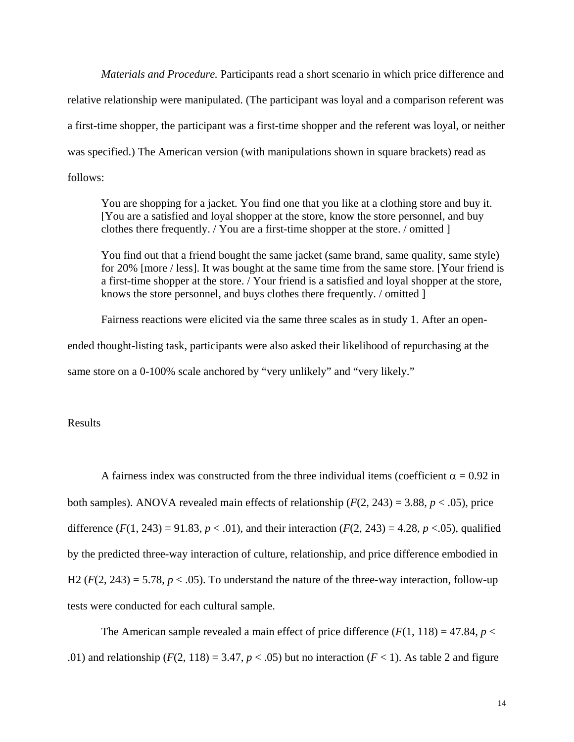*Materials and Procedure.* Participants read a short scenario in which price difference and relative relationship were manipulated. (The participant was loyal and a comparison referent was a first-time shopper, the participant was a first-time shopper and the referent was loyal, or neither was specified.) The American version (with manipulations shown in square brackets) read as follows:

You are shopping for a jacket. You find one that you like at a clothing store and buy it. [You are a satisfied and loyal shopper at the store, know the store personnel, and buy clothes there frequently. / You are a first-time shopper at the store. / omitted ]

You find out that a friend bought the same jacket (same brand, same quality, same style) for 20% [more / less]. It was bought at the same time from the same store. [Your friend is a first-time shopper at the store. / Your friend is a satisfied and loyal shopper at the store, knows the store personnel, and buys clothes there frequently. / omitted ]

 Fairness reactions were elicited via the same three scales as in study 1. After an openended thought-listing task, participants were also asked their likelihood of repurchasing at the same store on a 0-100% scale anchored by "very unlikely" and "very likely."

Results

A fairness index was constructed from the three individual items (coefficient  $\alpha = 0.92$  in both samples). ANOVA revealed main effects of relationship  $(F(2, 243) = 3.88, p < .05)$ , price difference  $(F(1, 243) = 91.83, p < .01)$ , and their interaction  $(F(2, 243) = 4.28, p < .05)$ , qualified by the predicted three-way interaction of culture, relationship, and price difference embodied in H2 ( $F(2, 243) = 5.78$ ,  $p < .05$ ). To understand the nature of the three-way interaction, follow-up tests were conducted for each cultural sample.

The American sample revealed a main effect of price difference  $(F(1, 118) = 47.84, p <$ .01) and relationship ( $F(2, 118) = 3.47$ ,  $p < .05$ ) but no interaction ( $F < 1$ ). As table 2 and figure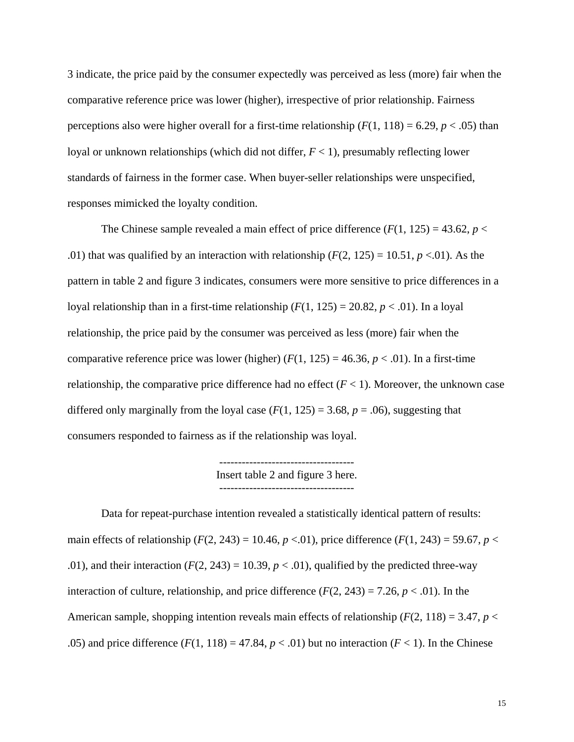3 indicate, the price paid by the consumer expectedly was perceived as less (more) fair when the comparative reference price was lower (higher), irrespective of prior relationship. Fairness perceptions also were higher overall for a first-time relationship  $(F(1, 118) = 6.29, p < .05)$  than loyal or unknown relationships (which did not differ,  $F < 1$ ), presumably reflecting lower standards of fairness in the former case. When buyer-seller relationships were unspecified, responses mimicked the loyalty condition.

The Chinese sample revealed a main effect of price difference  $(F(1, 125) = 43.62, p <$ .01) that was qualified by an interaction with relationship  $(F(2, 125) = 10.51, p < 0.01)$ . As the pattern in table 2 and figure 3 indicates, consumers were more sensitive to price differences in a loyal relationship than in a first-time relationship  $(F(1, 125) = 20.82, p < .01)$ . In a loyal relationship, the price paid by the consumer was perceived as less (more) fair when the comparative reference price was lower (higher)  $(F(1, 125) = 46.36, p < .01)$ . In a first-time relationship, the comparative price difference had no effect  $(F < 1)$ . Moreover, the unknown case differed only marginally from the loyal case  $(F(1, 125) = 3.68, p = .06)$ , suggesting that consumers responded to fairness as if the relationship was loyal.

> ------------------------------------ Insert table 2 and figure 3 here.

 Data for repeat-purchase intention revealed a statistically identical pattern of results: main effects of relationship ( $F(2, 243) = 10.46$ ,  $p < 0.01$ ), price difference ( $F(1, 243) = 59.67$ ,  $p <$ .01), and their interaction  $(F(2, 243) = 10.39, p < .01)$ , qualified by the predicted three-way interaction of culture, relationship, and price difference  $(F(2, 243) = 7.26, p < .01)$ . In the American sample, shopping intention reveals main effects of relationship  $(F(2, 118) = 3.47, p <$ .05) and price difference  $(F(1, 118) = 47.84, p < .01)$  but no interaction  $(F < 1)$ . In the Chinese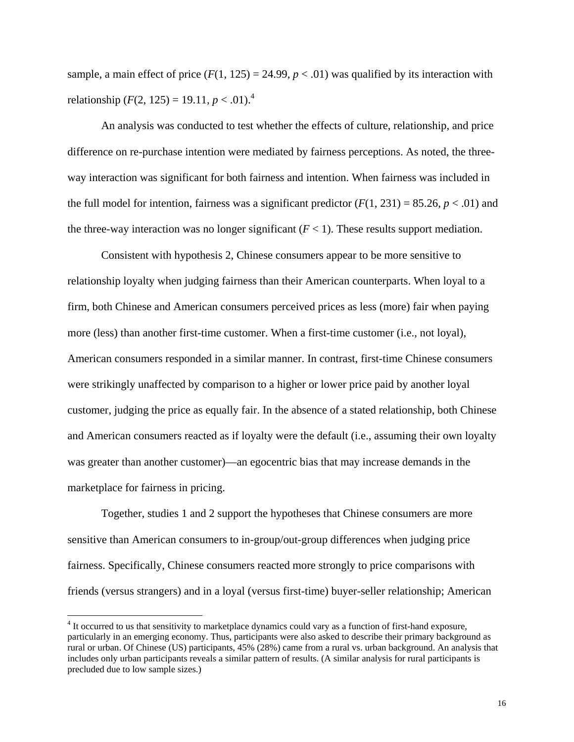sample, a main effect of price  $(F(1, 125) = 24.99, p < .01)$  was qualified by its interaction with relationship  $(F(2, 125) = 19.11, p < .01).$ <sup>4</sup>

 An analysis was conducted to test whether the effects of culture, relationship, and price difference on re-purchase intention were mediated by fairness perceptions. As noted, the threeway interaction was significant for both fairness and intention. When fairness was included in the full model for intention, fairness was a significant predictor  $(F(1, 231) = 85.26, p < .01)$  and the three-way interaction was no longer significant  $(F < 1)$ . These results support mediation.

 Consistent with hypothesis 2, Chinese consumers appear to be more sensitive to relationship loyalty when judging fairness than their American counterparts. When loyal to a firm, both Chinese and American consumers perceived prices as less (more) fair when paying more (less) than another first-time customer. When a first-time customer (i.e., not loyal), American consumers responded in a similar manner. In contrast, first-time Chinese consumers were strikingly unaffected by comparison to a higher or lower price paid by another loyal customer, judging the price as equally fair. In the absence of a stated relationship, both Chinese and American consumers reacted as if loyalty were the default (i.e., assuming their own loyalty was greater than another customer)—an egocentric bias that may increase demands in the marketplace for fairness in pricing.

 Together, studies 1 and 2 support the hypotheses that Chinese consumers are more sensitive than American consumers to in-group/out-group differences when judging price fairness. Specifically, Chinese consumers reacted more strongly to price comparisons with friends (versus strangers) and in a loyal (versus first-time) buyer-seller relationship; American

 $\overline{a}$ 

<sup>&</sup>lt;sup>4</sup> It occurred to us that sensitivity to marketplace dynamics could vary as a function of first-hand exposure, particularly in an emerging economy. Thus, participants were also asked to describe their primary background as rural or urban. Of Chinese (US) participants, 45% (28%) came from a rural vs. urban background. An analysis that includes only urban participants reveals a similar pattern of results. (A similar analysis for rural participants is precluded due to low sample sizes.)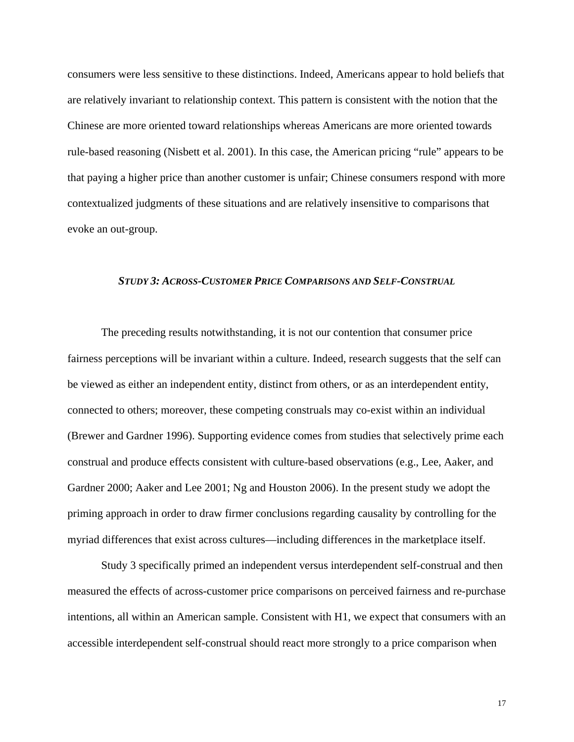consumers were less sensitive to these distinctions. Indeed, Americans appear to hold beliefs that are relatively invariant to relationship context. This pattern is consistent with the notion that the Chinese are more oriented toward relationships whereas Americans are more oriented towards rule-based reasoning (Nisbett et al. 2001). In this case, the American pricing "rule" appears to be that paying a higher price than another customer is unfair; Chinese consumers respond with more contextualized judgments of these situations and are relatively insensitive to comparisons that evoke an out-group.

# *STUDY 3: ACROSS-CUSTOMER PRICE COMPARISONS AND SELF-CONSTRUAL*

The preceding results notwithstanding, it is not our contention that consumer price fairness perceptions will be invariant within a culture. Indeed, research suggests that the self can be viewed as either an independent entity, distinct from others, or as an interdependent entity, connected to others; moreover, these competing construals may co-exist within an individual (Brewer and Gardner 1996). Supporting evidence comes from studies that selectively prime each construal and produce effects consistent with culture-based observations (e.g., Lee, Aaker, and Gardner 2000; Aaker and Lee 2001; Ng and Houston 2006). In the present study we adopt the priming approach in order to draw firmer conclusions regarding causality by controlling for the myriad differences that exist across cultures—including differences in the marketplace itself.

Study 3 specifically primed an independent versus interdependent self-construal and then measured the effects of across-customer price comparisons on perceived fairness and re-purchase intentions, all within an American sample. Consistent with H1, we expect that consumers with an accessible interdependent self-construal should react more strongly to a price comparison when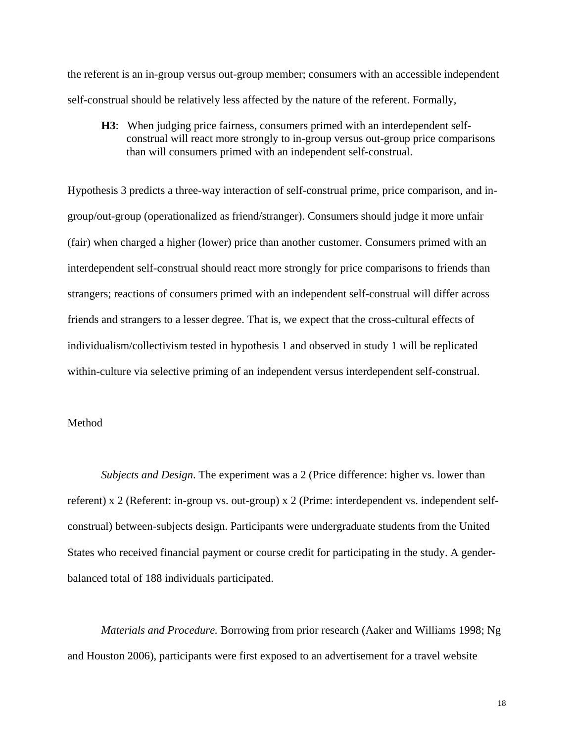the referent is an in-group versus out-group member; consumers with an accessible independent self-construal should be relatively less affected by the nature of the referent. Formally,

**H3**: When judging price fairness, consumers primed with an interdependent selfconstrual will react more strongly to in-group versus out-group price comparisons than will consumers primed with an independent self-construal.

Hypothesis 3 predicts a three-way interaction of self-construal prime, price comparison, and ingroup/out-group (operationalized as friend/stranger). Consumers should judge it more unfair (fair) when charged a higher (lower) price than another customer. Consumers primed with an interdependent self-construal should react more strongly for price comparisons to friends than strangers; reactions of consumers primed with an independent self-construal will differ across friends and strangers to a lesser degree. That is, we expect that the cross-cultural effects of individualism/collectivism tested in hypothesis 1 and observed in study 1 will be replicated within-culture via selective priming of an independent versus interdependent self-construal.

# Method

*Subjects and Design*. The experiment was a 2 (Price difference: higher vs. lower than referent) x 2 (Referent: in-group vs. out-group) x 2 (Prime: interdependent vs. independent selfconstrual) between-subjects design. Participants were undergraduate students from the United States who received financial payment or course credit for participating in the study. A genderbalanced total of 188 individuals participated.

*Materials and Procedure.* Borrowing from prior research (Aaker and Williams 1998; Ng and Houston 2006), participants were first exposed to an advertisement for a travel website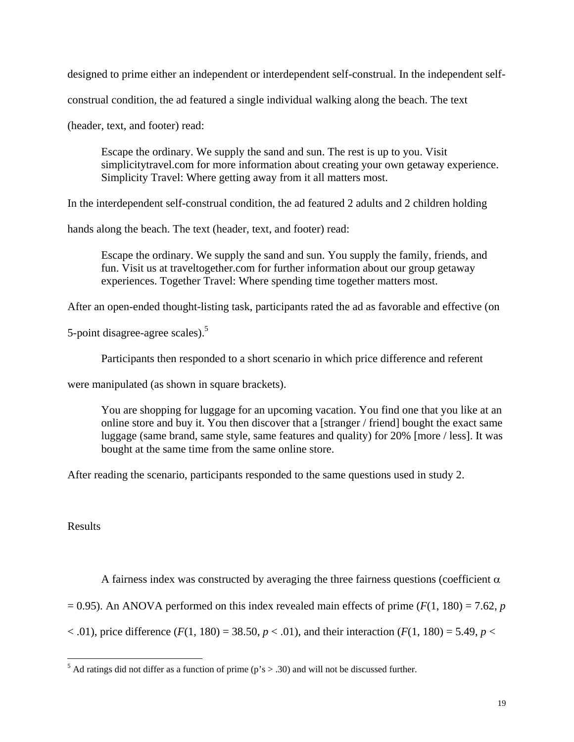designed to prime either an independent or interdependent self-construal. In the independent self-

construal condition, the ad featured a single individual walking along the beach. The text

(header, text, and footer) read:

Escape the ordinary. We supply the sand and sun. The rest is up to you. Visit simplicitytravel.com for more information about creating your own getaway experience. Simplicity Travel: Where getting away from it all matters most.

In the interdependent self-construal condition, the ad featured 2 adults and 2 children holding

hands along the beach. The text (header, text, and footer) read:

Escape the ordinary. We supply the sand and sun. You supply the family, friends, and fun. Visit us at traveltogether.com for further information about our group getaway experiences. Together Travel: Where spending time together matters most.

After an open-ended thought-listing task, participants rated the ad as favorable and effective (on

5-point disagree-agree scales).<sup>5</sup>

Participants then responded to a short scenario in which price difference and referent

were manipulated (as shown in square brackets).

You are shopping for luggage for an upcoming vacation. You find one that you like at an online store and buy it. You then discover that a [stranger / friend] bought the exact same luggage (same brand, same style, same features and quality) for 20% [more / less]. It was bought at the same time from the same online store.

After reading the scenario, participants responded to the same questions used in study 2.

Results

A fairness index was constructed by averaging the three fairness questions (coefficient  $\alpha$ )

 $= 0.95$ ). An ANOVA performed on this index revealed main effects of prime ( $F(1, 180) = 7.62$ , *p* 

 $(6, 01)$ , price difference (*F*(1, 180) = 38.50, *p* < .01), and their interaction (*F*(1, 180) = 5.49, *p* <

 $\frac{5}{6}$  Ad ratings did not differ as a function of prime (p's > .30) and will not be discussed further.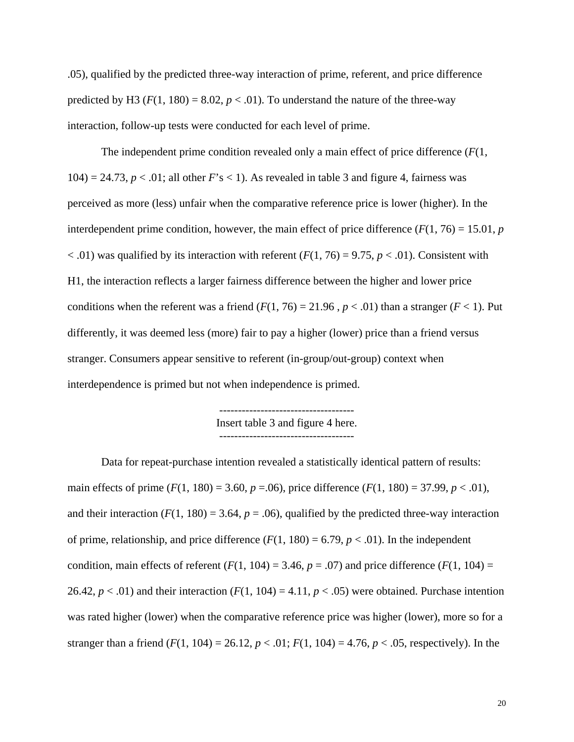.05), qualified by the predicted three-way interaction of prime, referent, and price difference predicted by H3 ( $F(1, 180) = 8.02$ ,  $p < .01$ ). To understand the nature of the three-way interaction, follow-up tests were conducted for each level of prime.

The independent prime condition revealed only a main effect of price difference (*F*(1,  $104$  = 24.73,  $p < 0.01$ ; all other  $F$ 's < 1). As revealed in table 3 and figure 4, fairness was perceived as more (less) unfair when the comparative reference price is lower (higher). In the interdependent prime condition, however, the main effect of price difference  $(F(1, 76) = 15.01, p$  $<$  0.01) was qualified by its interaction with referent ( $F(1, 76) = 9.75$ ,  $p < 0.01$ ). Consistent with H1, the interaction reflects a larger fairness difference between the higher and lower price conditions when the referent was a friend  $(F(1, 76) = 21.96$ ,  $p < .01)$  than a stranger  $(F < 1)$ . Put differently, it was deemed less (more) fair to pay a higher (lower) price than a friend versus stranger. Consumers appear sensitive to referent (in-group/out-group) context when interdependence is primed but not when independence is primed.

> ------------------------------------ Insert table 3 and figure 4 here. ------------------------------------

 Data for repeat-purchase intention revealed a statistically identical pattern of results: main effects of prime  $(F(1, 180) = 3.60, p = .06)$ , price difference  $(F(1, 180) = 37.99, p < .01)$ , and their interaction  $(F(1, 180) = 3.64, p = .06)$ , qualified by the predicted three-way interaction of prime, relationship, and price difference  $(F(1, 180) = 6.79, p < .01)$ . In the independent condition, main effects of referent  $(F(1, 104) = 3.46, p = .07)$  and price difference  $(F(1, 104) =$ 26.42,  $p < .01$ ) and their interaction ( $F(1, 104) = 4.11$ ,  $p < .05$ ) were obtained. Purchase intention was rated higher (lower) when the comparative reference price was higher (lower), more so for a stranger than a friend  $(F(1, 104) = 26.12, p < .01; F(1, 104) = 4.76, p < .05$ , respectively). In the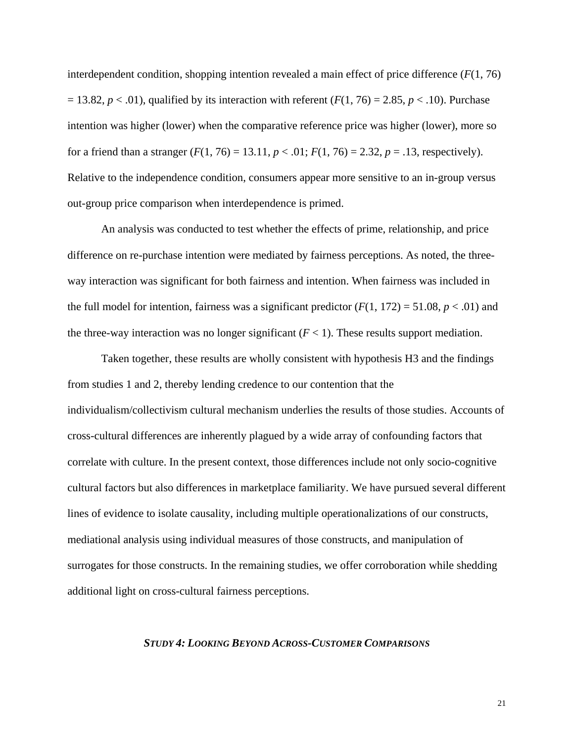interdependent condition, shopping intention revealed a main effect of price difference  $(F(1, 76))$  $= 13.82, p < .01$ , qualified by its interaction with referent  $(F(1, 76) = 2.85, p < .10)$ . Purchase intention was higher (lower) when the comparative reference price was higher (lower), more so for a friend than a stranger  $(F(1, 76) = 13.11, p < .01; F(1, 76) = 2.32, p = .13$ , respectively). Relative to the independence condition, consumers appear more sensitive to an in-group versus out-group price comparison when interdependence is primed.

An analysis was conducted to test whether the effects of prime, relationship, and price difference on re-purchase intention were mediated by fairness perceptions. As noted, the threeway interaction was significant for both fairness and intention. When fairness was included in the full model for intention, fairness was a significant predictor  $(F(1, 172) = 51.08, p < .01)$  and the three-way interaction was no longer significant  $(F < 1)$ . These results support mediation.

 Taken together, these results are wholly consistent with hypothesis H3 and the findings from studies 1 and 2, thereby lending credence to our contention that the individualism/collectivism cultural mechanism underlies the results of those studies. Accounts of cross-cultural differences are inherently plagued by a wide array of confounding factors that correlate with culture. In the present context, those differences include not only socio-cognitive cultural factors but also differences in marketplace familiarity. We have pursued several different lines of evidence to isolate causality, including multiple operationalizations of our constructs, mediational analysis using individual measures of those constructs, and manipulation of surrogates for those constructs. In the remaining studies, we offer corroboration while shedding additional light on cross-cultural fairness perceptions.

#### *STUDY 4: LOOKING BEYOND ACROSS-CUSTOMER COMPARISONS*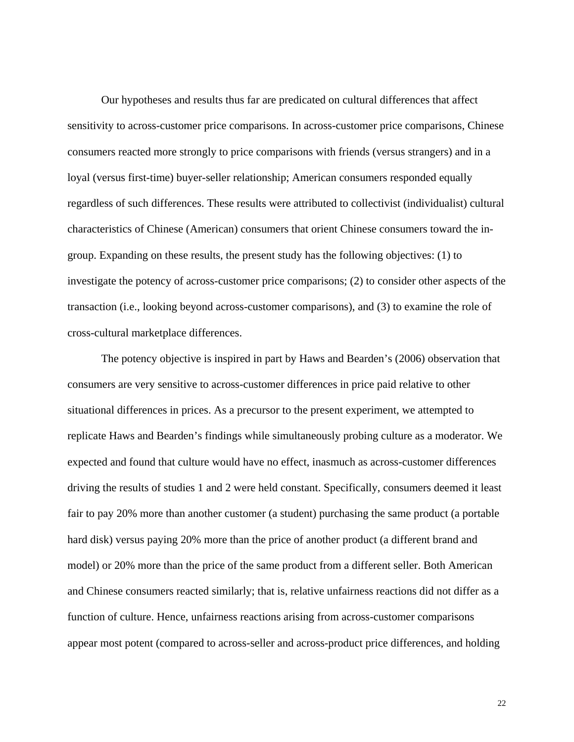Our hypotheses and results thus far are predicated on cultural differences that affect sensitivity to across-customer price comparisons. In across-customer price comparisons, Chinese consumers reacted more strongly to price comparisons with friends (versus strangers) and in a loyal (versus first-time) buyer-seller relationship; American consumers responded equally regardless of such differences. These results were attributed to collectivist (individualist) cultural characteristics of Chinese (American) consumers that orient Chinese consumers toward the ingroup. Expanding on these results, the present study has the following objectives: (1) to investigate the potency of across-customer price comparisons; (2) to consider other aspects of the transaction (i.e., looking beyond across-customer comparisons), and (3) to examine the role of cross-cultural marketplace differences.

The potency objective is inspired in part by Haws and Bearden's (2006) observation that consumers are very sensitive to across-customer differences in price paid relative to other situational differences in prices. As a precursor to the present experiment, we attempted to replicate Haws and Bearden's findings while simultaneously probing culture as a moderator. We expected and found that culture would have no effect, inasmuch as across-customer differences driving the results of studies 1 and 2 were held constant. Specifically, consumers deemed it least fair to pay 20% more than another customer (a student) purchasing the same product (a portable hard disk) versus paying 20% more than the price of another product (a different brand and model) or 20% more than the price of the same product from a different seller. Both American and Chinese consumers reacted similarly; that is, relative unfairness reactions did not differ as a function of culture. Hence, unfairness reactions arising from across-customer comparisons appear most potent (compared to across-seller and across-product price differences, and holding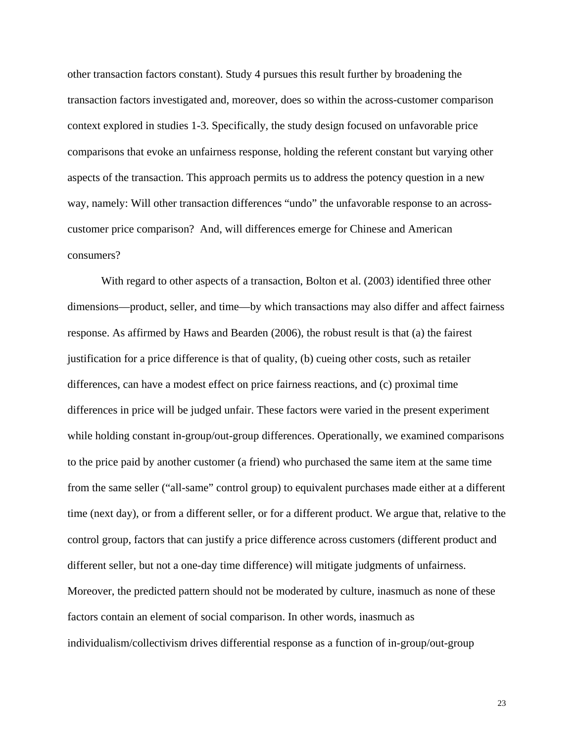other transaction factors constant). Study 4 pursues this result further by broadening the transaction factors investigated and, moreover, does so within the across-customer comparison context explored in studies 1-3. Specifically, the study design focused on unfavorable price comparisons that evoke an unfairness response, holding the referent constant but varying other aspects of the transaction. This approach permits us to address the potency question in a new way, namely: Will other transaction differences "undo" the unfavorable response to an acrosscustomer price comparison? And, will differences emerge for Chinese and American consumers?

With regard to other aspects of a transaction, Bolton et al. (2003) identified three other dimensions—product, seller, and time—by which transactions may also differ and affect fairness response. As affirmed by Haws and Bearden (2006), the robust result is that (a) the fairest justification for a price difference is that of quality, (b) cueing other costs, such as retailer differences, can have a modest effect on price fairness reactions, and (c) proximal time differences in price will be judged unfair. These factors were varied in the present experiment while holding constant in-group/out-group differences. Operationally, we examined comparisons to the price paid by another customer (a friend) who purchased the same item at the same time from the same seller ("all-same" control group) to equivalent purchases made either at a different time (next day), or from a different seller, or for a different product. We argue that, relative to the control group, factors that can justify a price difference across customers (different product and different seller, but not a one-day time difference) will mitigate judgments of unfairness. Moreover, the predicted pattern should not be moderated by culture, inasmuch as none of these factors contain an element of social comparison. In other words, inasmuch as individualism/collectivism drives differential response as a function of in-group/out-group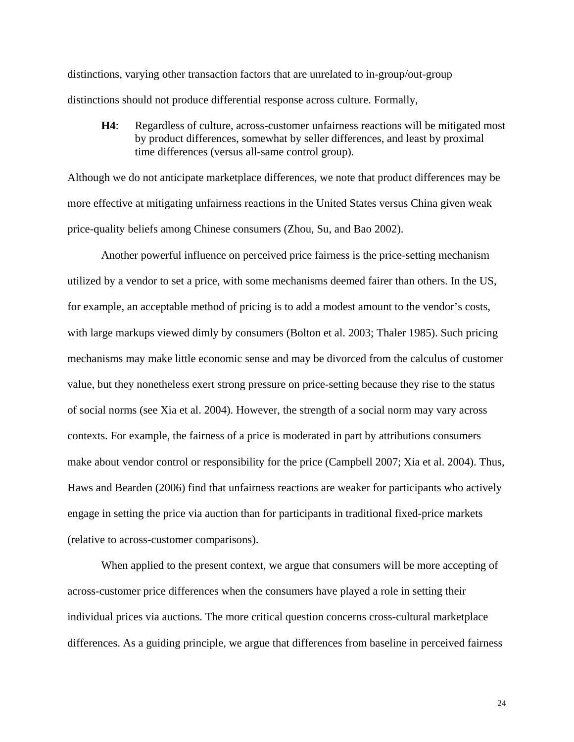distinctions, varying other transaction factors that are unrelated to in-group/out-group distinctions should not produce differential response across culture. Formally,

**H4**: Regardless of culture, across-customer unfairness reactions will be mitigated most by product differences, somewhat by seller differences, and least by proximal time differences (versus all-same control group).

Although we do not anticipate marketplace differences, we note that product differences may be more effective at mitigating unfairness reactions in the United States versus China given weak price-quality beliefs among Chinese consumers (Zhou, Su, and Bao 2002).

Another powerful influence on perceived price fairness is the price-setting mechanism utilized by a vendor to set a price, with some mechanisms deemed fairer than others. In the US, for example, an acceptable method of pricing is to add a modest amount to the vendor's costs, with large markups viewed dimly by consumers (Bolton et al. 2003; Thaler 1985). Such pricing mechanisms may make little economic sense and may be divorced from the calculus of customer value, but they nonetheless exert strong pressure on price-setting because they rise to the status of social norms (see Xia et al. 2004). However, the strength of a social norm may vary across contexts. For example, the fairness of a price is moderated in part by attributions consumers make about vendor control or responsibility for the price (Campbell 2007; Xia et al. 2004). Thus, Haws and Bearden (2006) find that unfairness reactions are weaker for participants who actively engage in setting the price via auction than for participants in traditional fixed-price markets (relative to across-customer comparisons).

When applied to the present context, we argue that consumers will be more accepting of across-customer price differences when the consumers have played a role in setting their individual prices via auctions. The more critical question concerns cross-cultural marketplace differences. As a guiding principle, we argue that differences from baseline in perceived fairness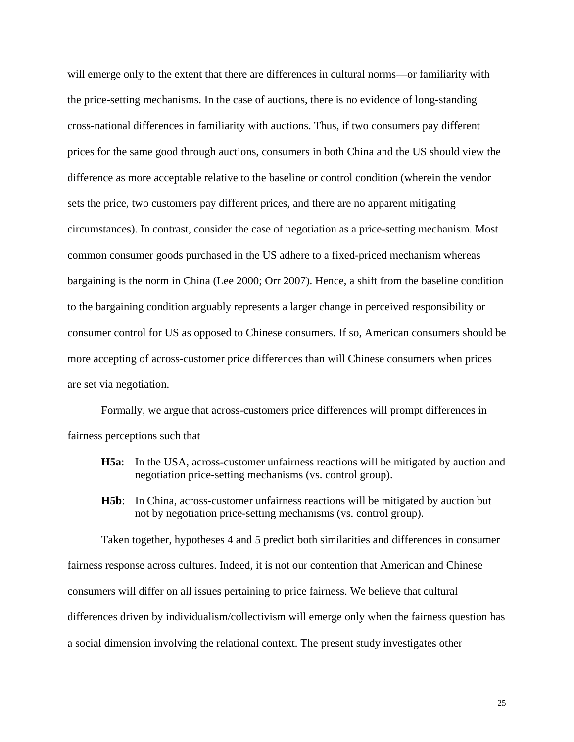will emerge only to the extent that there are differences in cultural norms—or familiarity with the price-setting mechanisms. In the case of auctions, there is no evidence of long-standing cross-national differences in familiarity with auctions. Thus, if two consumers pay different prices for the same good through auctions, consumers in both China and the US should view the difference as more acceptable relative to the baseline or control condition (wherein the vendor sets the price, two customers pay different prices, and there are no apparent mitigating circumstances). In contrast, consider the case of negotiation as a price-setting mechanism. Most common consumer goods purchased in the US adhere to a fixed-priced mechanism whereas bargaining is the norm in China (Lee 2000; Orr 2007). Hence, a shift from the baseline condition to the bargaining condition arguably represents a larger change in perceived responsibility or consumer control for US as opposed to Chinese consumers. If so, American consumers should be more accepting of across-customer price differences than will Chinese consumers when prices are set via negotiation.

Formally, we argue that across-customers price differences will prompt differences in fairness perceptions such that

- **H5a**: In the USA, across-customer unfairness reactions will be mitigated by auction and negotiation price-setting mechanisms (vs. control group).
- **H5b**: In China, across-customer unfairness reactions will be mitigated by auction but not by negotiation price-setting mechanisms (vs. control group).

 Taken together, hypotheses 4 and 5 predict both similarities and differences in consumer fairness response across cultures. Indeed, it is not our contention that American and Chinese consumers will differ on all issues pertaining to price fairness. We believe that cultural differences driven by individualism/collectivism will emerge only when the fairness question has a social dimension involving the relational context. The present study investigates other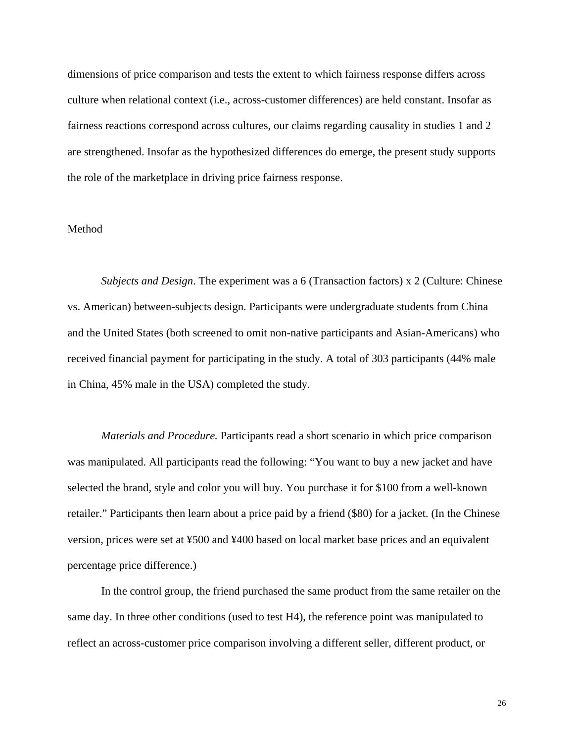dimensions of price comparison and tests the extent to which fairness response differs across culture when relational context (i.e., across-customer differences) are held constant. Insofar as fairness reactions correspond across cultures, our claims regarding causality in studies 1 and 2 are strengthened. Insofar as the hypothesized differences do emerge, the present study supports the role of the marketplace in driving price fairness response.

## Method

*Subjects and Design*. The experiment was a 6 (Transaction factors) x 2 (Culture: Chinese vs. American) between-subjects design. Participants were undergraduate students from China and the United States (both screened to omit non-native participants and Asian-Americans) who received financial payment for participating in the study. A total of 303 participants (44% male in China, 45% male in the USA) completed the study.

*Materials and Procedure.* Participants read a short scenario in which price comparison was manipulated. All participants read the following: "You want to buy a new jacket and have selected the brand, style and color you will buy. You purchase it for \$100 from a well-known retailer." Participants then learn about a price paid by a friend (\$80) for a jacket. (In the Chinese version, prices were set at ¥500 and ¥400 based on local market base prices and an equivalent percentage price difference.)

In the control group, the friend purchased the same product from the same retailer on the same day. In three other conditions (used to test H4), the reference point was manipulated to reflect an across-customer price comparison involving a different seller, different product, or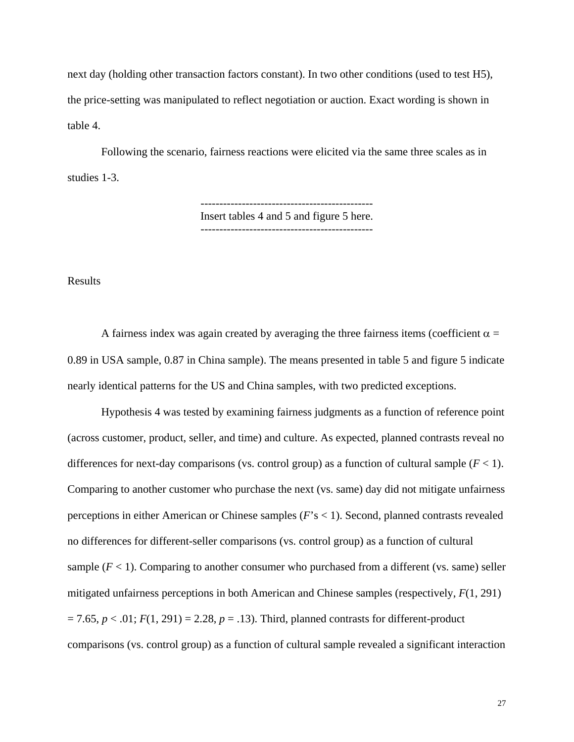next day (holding other transaction factors constant). In two other conditions (used to test H5), the price-setting was manipulated to reflect negotiation or auction. Exact wording is shown in table 4.

 Following the scenario, fairness reactions were elicited via the same three scales as in studies 1-3.

> ---------------------------------------------- Insert tables 4 and 5 and figure 5 here. ----------------------------------------------

Results

A fairness index was again created by averaging the three fairness items (coefficient  $\alpha$  = 0.89 in USA sample, 0.87 in China sample). The means presented in table 5 and figure 5 indicate nearly identical patterns for the US and China samples, with two predicted exceptions.

Hypothesis 4 was tested by examining fairness judgments as a function of reference point (across customer, product, seller, and time) and culture. As expected, planned contrasts reveal no differences for next-day comparisons (vs. control group) as a function of cultural sample  $(F < 1)$ . Comparing to another customer who purchase the next (vs. same) day did not mitigate unfairness perceptions in either American or Chinese samples (*F*'s < 1). Second, planned contrasts revealed no differences for different-seller comparisons (vs. control group) as a function of cultural sample  $(F < 1)$ . Comparing to another consumer who purchased from a different (vs. same) seller mitigated unfairness perceptions in both American and Chinese samples (respectively, *F*(1, 291)  $= 7.65, p < .01; F(1, 291) = 2.28, p = .13$ . Third, planned contrasts for different-product comparisons (vs. control group) as a function of cultural sample revealed a significant interaction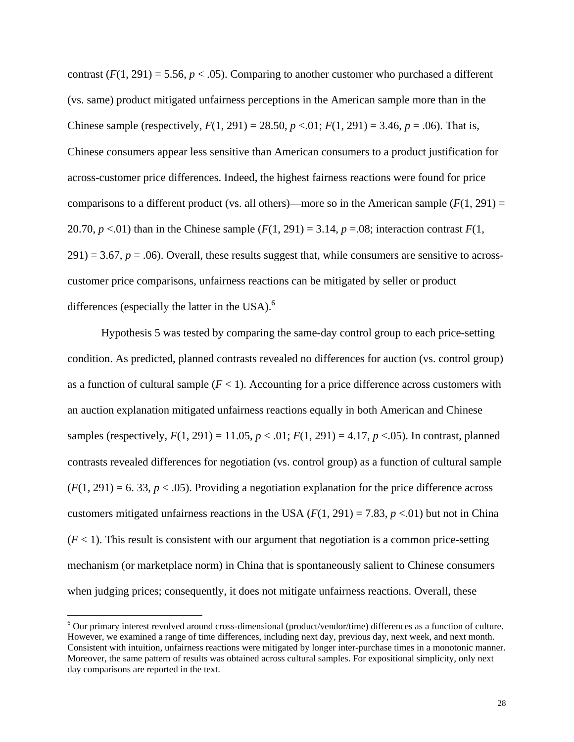contrast  $(F(1, 291) = 5.56, p < .05)$ . Comparing to another customer who purchased a different (vs. same) product mitigated unfairness perceptions in the American sample more than in the Chinese sample (respectively,  $F(1, 291) = 28.50$ ,  $p < 0.01$ ;  $F(1, 291) = 3.46$ ,  $p = 0.06$ ). That is, Chinese consumers appear less sensitive than American consumers to a product justification for across-customer price differences. Indeed, the highest fairness reactions were found for price comparisons to a different product (vs. all others)—more so in the American sample  $(F(1, 291) =$ 20.70,  $p < 0.01$ ) than in the Chinese sample  $(F(1, 291) = 3.14, p = 0.08)$ ; interaction contrast  $F(1, 291)$  $291$ ) = 3.67,  $p = .06$ ). Overall, these results suggest that, while consumers are sensitive to acrosscustomer price comparisons, unfairness reactions can be mitigated by seller or product differences (especially the latter in the USA). $<sup>6</sup>$ </sup>

Hypothesis 5 was tested by comparing the same-day control group to each price-setting condition. As predicted, planned contrasts revealed no differences for auction (vs. control group) as a function of cultural sample  $(F < 1)$ . Accounting for a price difference across customers with an auction explanation mitigated unfairness reactions equally in both American and Chinese samples (respectively,  $F(1, 291) = 11.05$ ,  $p < .01$ ;  $F(1, 291) = 4.17$ ,  $p < .05$ ). In contrast, planned contrasts revealed differences for negotiation (vs. control group) as a function of cultural sample  $(F(1, 291) = 6.33, p < .05)$ . Providing a negotiation explanation for the price difference across customers mitigated unfairness reactions in the USA  $(F(1, 291) = 7.83, p < 0.01)$  but not in China  $(F < 1)$ . This result is consistent with our argument that negotiation is a common price-setting mechanism (or marketplace norm) in China that is spontaneously salient to Chinese consumers when judging prices; consequently, it does not mitigate unfairness reactions. Overall, these

<sup>&</sup>lt;sup>6</sup> Our primary interest revolved around cross-dimensional (product/vendor/time) differences as a function of culture. However, we examined a range of time differences, including next day, previous day, next week, and next month. Consistent with intuition, unfairness reactions were mitigated by longer inter-purchase times in a monotonic manner. Moreover, the same pattern of results was obtained across cultural samples. For expositional simplicity, only next day comparisons are reported in the text.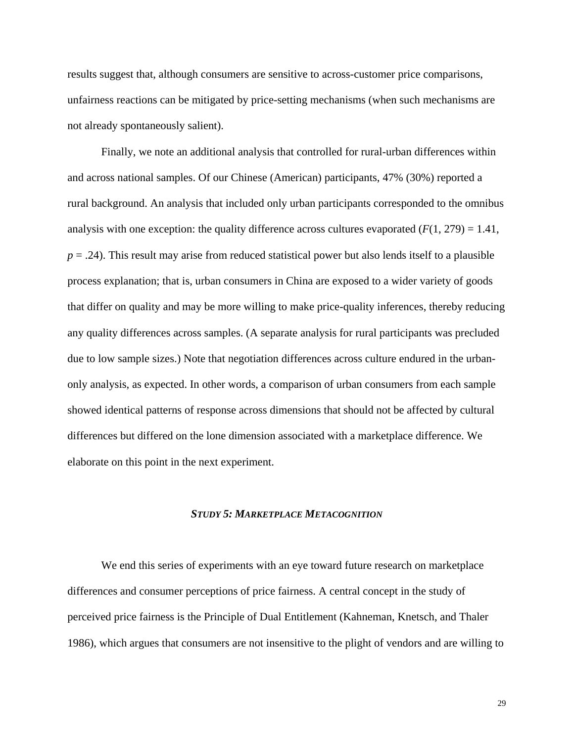results suggest that, although consumers are sensitive to across-customer price comparisons, unfairness reactions can be mitigated by price-setting mechanisms (when such mechanisms are not already spontaneously salient).

Finally, we note an additional analysis that controlled for rural-urban differences within and across national samples. Of our Chinese (American) participants, 47% (30%) reported a rural background. An analysis that included only urban participants corresponded to the omnibus analysis with one exception: the quality difference across cultures evaporated  $(F(1, 279) = 1.41$ ,  $p = .24$ ). This result may arise from reduced statistical power but also lends itself to a plausible process explanation; that is, urban consumers in China are exposed to a wider variety of goods that differ on quality and may be more willing to make price-quality inferences, thereby reducing any quality differences across samples. (A separate analysis for rural participants was precluded due to low sample sizes.) Note that negotiation differences across culture endured in the urbanonly analysis, as expected. In other words, a comparison of urban consumers from each sample showed identical patterns of response across dimensions that should not be affected by cultural differences but differed on the lone dimension associated with a marketplace difference. We elaborate on this point in the next experiment.

## *STUDY 5: MARKETPLACE METACOGNITION*

We end this series of experiments with an eye toward future research on marketplace differences and consumer perceptions of price fairness. A central concept in the study of perceived price fairness is the Principle of Dual Entitlement (Kahneman, Knetsch, and Thaler 1986), which argues that consumers are not insensitive to the plight of vendors and are willing to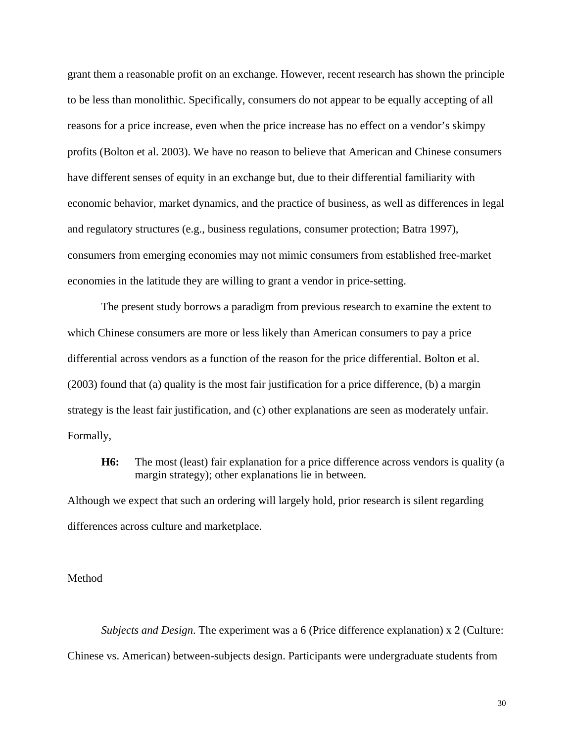grant them a reasonable profit on an exchange. However, recent research has shown the principle to be less than monolithic. Specifically, consumers do not appear to be equally accepting of all reasons for a price increase, even when the price increase has no effect on a vendor's skimpy profits (Bolton et al. 2003). We have no reason to believe that American and Chinese consumers have different senses of equity in an exchange but, due to their differential familiarity with economic behavior, market dynamics, and the practice of business, as well as differences in legal and regulatory structures (e.g., business regulations, consumer protection; Batra 1997), consumers from emerging economies may not mimic consumers from established free-market economies in the latitude they are willing to grant a vendor in price-setting.

The present study borrows a paradigm from previous research to examine the extent to which Chinese consumers are more or less likely than American consumers to pay a price differential across vendors as a function of the reason for the price differential. Bolton et al. (2003) found that (a) quality is the most fair justification for a price difference, (b) a margin strategy is the least fair justification, and (c) other explanations are seen as moderately unfair. Formally,

**H6:** The most (least) fair explanation for a price difference across vendors is quality (a margin strategy); other explanations lie in between.

Although we expect that such an ordering will largely hold, prior research is silent regarding differences across culture and marketplace.

Method

*Subjects and Design*. The experiment was a 6 (Price difference explanation) x 2 (Culture: Chinese vs. American) between-subjects design. Participants were undergraduate students from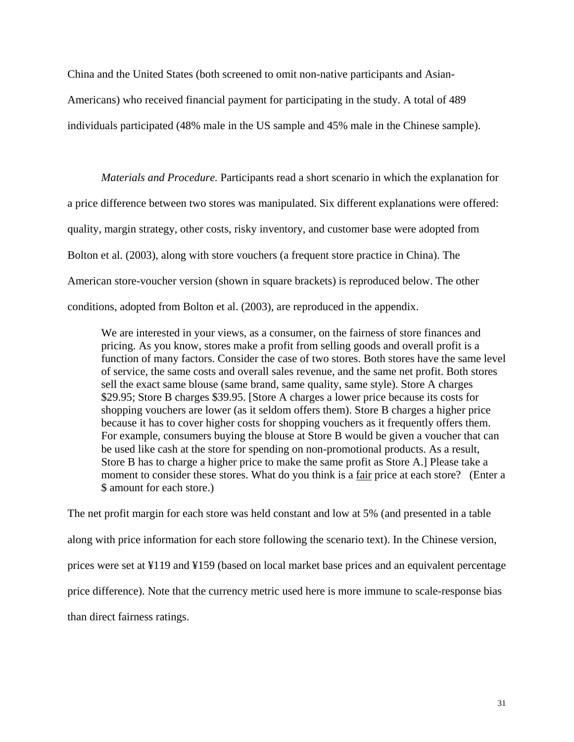China and the United States (both screened to omit non-native participants and Asian-Americans) who received financial payment for participating in the study. A total of 489 individuals participated (48% male in the US sample and 45% male in the Chinese sample).

*Materials and Procedure.* Participants read a short scenario in which the explanation for a price difference between two stores was manipulated. Six different explanations were offered: quality, margin strategy, other costs, risky inventory, and customer base were adopted from Bolton et al. (2003), along with store vouchers (a frequent store practice in China). The American store-voucher version (shown in square brackets) is reproduced below. The other conditions, adopted from Bolton et al. (2003), are reproduced in the appendix.

We are interested in your views, as a consumer, on the fairness of store finances and pricing. As you know, stores make a profit from selling goods and overall profit is a function of many factors. Consider the case of two stores. Both stores have the same level of service, the same costs and overall sales revenue, and the same net profit. Both stores sell the exact same blouse (same brand, same quality, same style). Store A charges \$29.95; Store B charges \$39.95. [Store A charges a lower price because its costs for shopping vouchers are lower (as it seldom offers them). Store B charges a higher price because it has to cover higher costs for shopping vouchers as it frequently offers them. For example, consumers buying the blouse at Store B would be given a voucher that can be used like cash at the store for spending on non-promotional products. As a result, Store B has to charge a higher price to make the same profit as Store A.] Please take a moment to consider these stores. What do you think is a fair price at each store? (Enter a \$ amount for each store.)

The net profit margin for each store was held constant and low at 5% (and presented in a table along with price information for each store following the scenario text). In the Chinese version, prices were set at ¥119 and ¥159 (based on local market base prices and an equivalent percentage price difference). Note that the currency metric used here is more immune to scale-response bias than direct fairness ratings.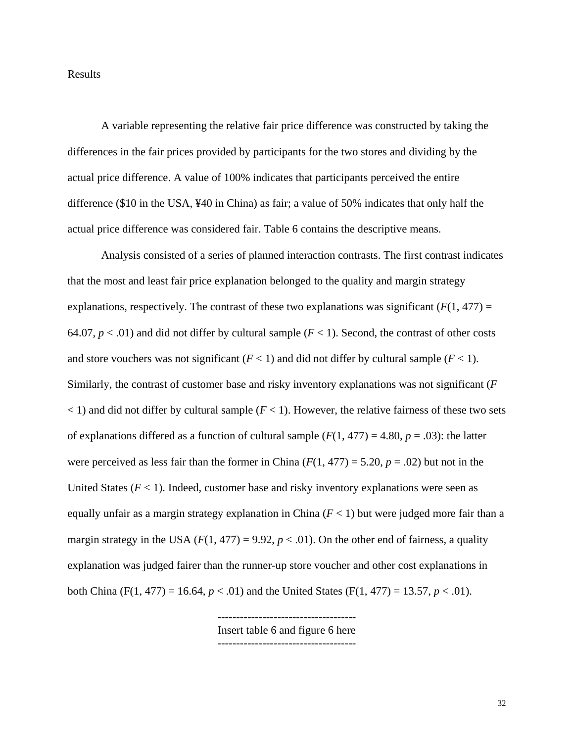## Results

A variable representing the relative fair price difference was constructed by taking the differences in the fair prices provided by participants for the two stores and dividing by the actual price difference. A value of 100% indicates that participants perceived the entire difference (\$10 in the USA, ¥40 in China) as fair; a value of 50% indicates that only half the actual price difference was considered fair. Table 6 contains the descriptive means.

Analysis consisted of a series of planned interaction contrasts. The first contrast indicates that the most and least fair price explanation belonged to the quality and margin strategy explanations, respectively. The contrast of these two explanations was significant  $(F(1, 477)) =$ 64.07,  $p < .01$ ) and did not differ by cultural sample  $(F < 1)$ . Second, the contrast of other costs and store vouchers was not significant  $(F < 1)$  and did not differ by cultural sample  $(F < 1)$ . Similarly, the contrast of customer base and risky inventory explanations was not significant (*F*  $<$  1) and did not differ by cultural sample ( $F$  < 1). However, the relative fairness of these two sets of explanations differed as a function of cultural sample  $(F(1, 477) = 4.80, p = .03)$ : the latter were perceived as less fair than the former in China  $(F(1, 477) = 5.20, p = .02)$  but not in the United States  $(F < 1)$ . Indeed, customer base and risky inventory explanations were seen as equally unfair as a margin strategy explanation in China  $(F < 1)$  but were judged more fair than a margin strategy in the USA  $(F(1, 477) = 9.92, p < .01)$ . On the other end of fairness, a quality explanation was judged fairer than the runner-up store voucher and other cost explanations in both China (F(1, 477) = 16.64,  $p < .01$ ) and the United States (F(1, 477) = 13.57,  $p < .01$ ).

> ------------------------------------- Insert table 6 and figure 6 here -------------------------------------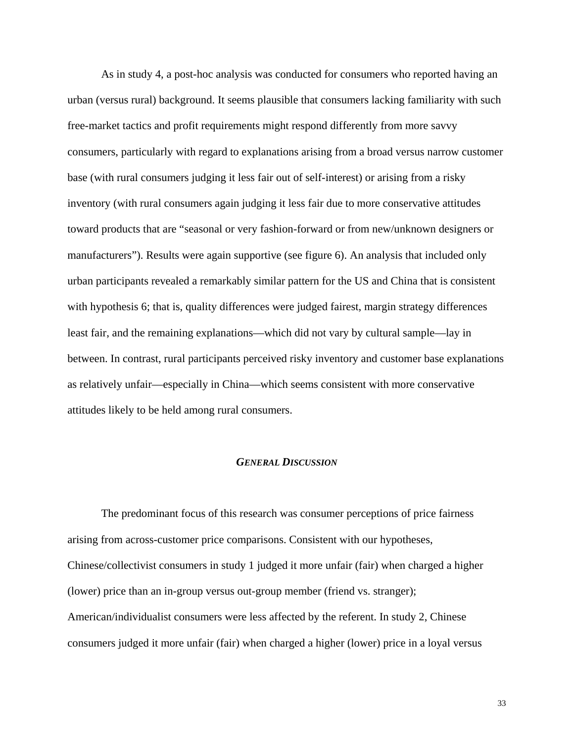As in study 4, a post-hoc analysis was conducted for consumers who reported having an urban (versus rural) background. It seems plausible that consumers lacking familiarity with such free-market tactics and profit requirements might respond differently from more savvy consumers, particularly with regard to explanations arising from a broad versus narrow customer base (with rural consumers judging it less fair out of self-interest) or arising from a risky inventory (with rural consumers again judging it less fair due to more conservative attitudes toward products that are "seasonal or very fashion-forward or from new/unknown designers or manufacturers"). Results were again supportive (see figure 6). An analysis that included only urban participants revealed a remarkably similar pattern for the US and China that is consistent with hypothesis 6; that is, quality differences were judged fairest, margin strategy differences least fair, and the remaining explanations—which did not vary by cultural sample—lay in between. In contrast, rural participants perceived risky inventory and customer base explanations as relatively unfair—especially in China—which seems consistent with more conservative attitudes likely to be held among rural consumers.

#### *GENERAL DISCUSSION*

The predominant focus of this research was consumer perceptions of price fairness arising from across-customer price comparisons. Consistent with our hypotheses, Chinese/collectivist consumers in study 1 judged it more unfair (fair) when charged a higher (lower) price than an in-group versus out-group member (friend vs. stranger); American/individualist consumers were less affected by the referent. In study 2, Chinese consumers judged it more unfair (fair) when charged a higher (lower) price in a loyal versus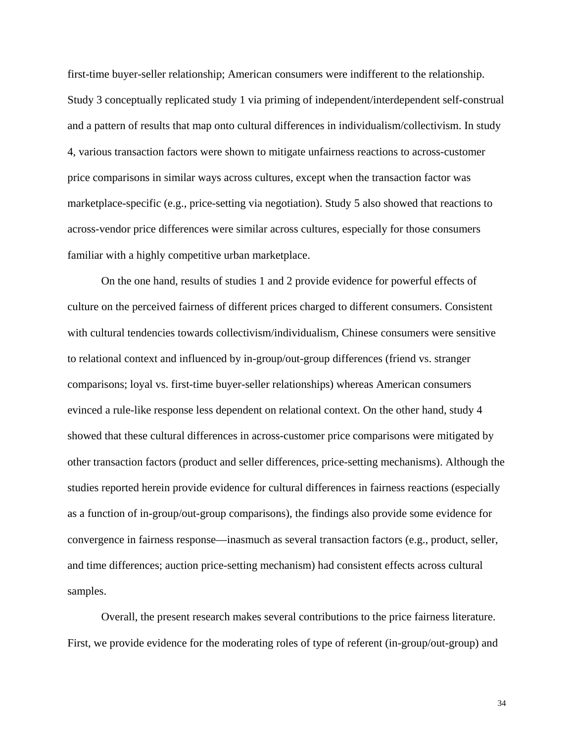first-time buyer-seller relationship; American consumers were indifferent to the relationship. Study 3 conceptually replicated study 1 via priming of independent/interdependent self-construal and a pattern of results that map onto cultural differences in individualism/collectivism. In study 4, various transaction factors were shown to mitigate unfairness reactions to across-customer price comparisons in similar ways across cultures, except when the transaction factor was marketplace-specific (e.g., price-setting via negotiation). Study 5 also showed that reactions to across-vendor price differences were similar across cultures, especially for those consumers familiar with a highly competitive urban marketplace.

On the one hand, results of studies 1 and 2 provide evidence for powerful effects of culture on the perceived fairness of different prices charged to different consumers. Consistent with cultural tendencies towards collectivism/individualism, Chinese consumers were sensitive to relational context and influenced by in-group/out-group differences (friend vs. stranger comparisons; loyal vs. first-time buyer-seller relationships) whereas American consumers evinced a rule-like response less dependent on relational context. On the other hand, study 4 showed that these cultural differences in across-customer price comparisons were mitigated by other transaction factors (product and seller differences, price-setting mechanisms). Although the studies reported herein provide evidence for cultural differences in fairness reactions (especially as a function of in-group/out-group comparisons), the findings also provide some evidence for convergence in fairness response—inasmuch as several transaction factors (e.g., product, seller, and time differences; auction price-setting mechanism) had consistent effects across cultural samples.

Overall, the present research makes several contributions to the price fairness literature. First, we provide evidence for the moderating roles of type of referent (in-group/out-group) and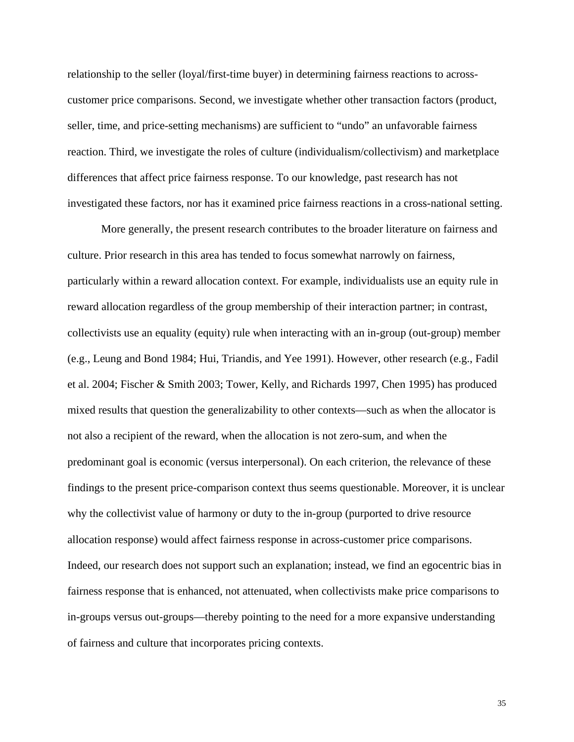relationship to the seller (loyal/first-time buyer) in determining fairness reactions to acrosscustomer price comparisons. Second, we investigate whether other transaction factors (product, seller, time, and price-setting mechanisms) are sufficient to "undo" an unfavorable fairness reaction. Third, we investigate the roles of culture (individualism/collectivism) and marketplace differences that affect price fairness response. To our knowledge, past research has not investigated these factors, nor has it examined price fairness reactions in a cross-national setting.

More generally, the present research contributes to the broader literature on fairness and culture. Prior research in this area has tended to focus somewhat narrowly on fairness, particularly within a reward allocation context. For example, individualists use an equity rule in reward allocation regardless of the group membership of their interaction partner; in contrast, collectivists use an equality (equity) rule when interacting with an in-group (out-group) member (e.g., Leung and Bond 1984; Hui, Triandis, and Yee 1991). However, other research (e.g., Fadil et al. 2004; Fischer & Smith 2003; Tower, Kelly, and Richards 1997, Chen 1995) has produced mixed results that question the generalizability to other contexts—such as when the allocator is not also a recipient of the reward, when the allocation is not zero-sum, and when the predominant goal is economic (versus interpersonal). On each criterion, the relevance of these findings to the present price-comparison context thus seems questionable. Moreover, it is unclear why the collectivist value of harmony or duty to the in-group (purported to drive resource allocation response) would affect fairness response in across-customer price comparisons. Indeed, our research does not support such an explanation; instead, we find an egocentric bias in fairness response that is enhanced, not attenuated, when collectivists make price comparisons to in-groups versus out-groups—thereby pointing to the need for a more expansive understanding of fairness and culture that incorporates pricing contexts.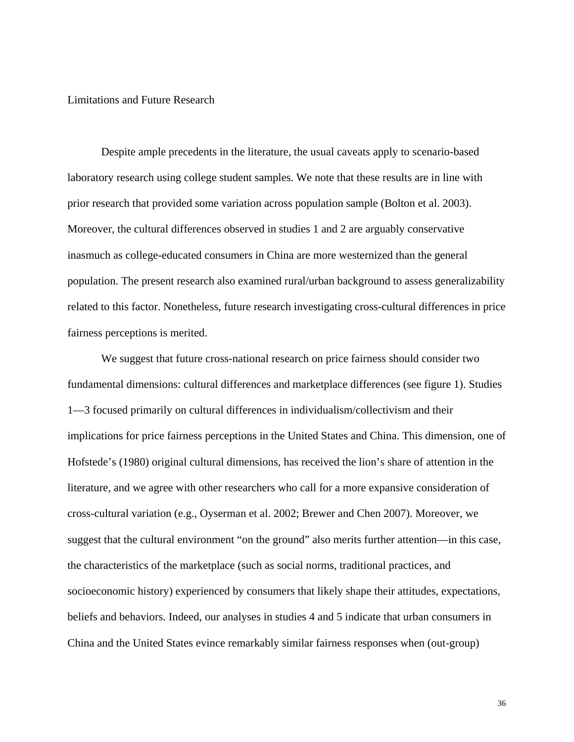## Limitations and Future Research

Despite ample precedents in the literature, the usual caveats apply to scenario-based laboratory research using college student samples. We note that these results are in line with prior research that provided some variation across population sample (Bolton et al. 2003). Moreover, the cultural differences observed in studies 1 and 2 are arguably conservative inasmuch as college-educated consumers in China are more westernized than the general population. The present research also examined rural/urban background to assess generalizability related to this factor. Nonetheless, future research investigating cross-cultural differences in price fairness perceptions is merited.

We suggest that future cross-national research on price fairness should consider two fundamental dimensions: cultural differences and marketplace differences (see figure 1). Studies 1—3 focused primarily on cultural differences in individualism/collectivism and their implications for price fairness perceptions in the United States and China. This dimension, one of Hofstede's (1980) original cultural dimensions, has received the lion's share of attention in the literature, and we agree with other researchers who call for a more expansive consideration of cross-cultural variation (e.g., Oyserman et al. 2002; Brewer and Chen 2007). Moreover, we suggest that the cultural environment "on the ground" also merits further attention—in this case, the characteristics of the marketplace (such as social norms, traditional practices, and socioeconomic history) experienced by consumers that likely shape their attitudes, expectations, beliefs and behaviors. Indeed, our analyses in studies 4 and 5 indicate that urban consumers in China and the United States evince remarkably similar fairness responses when (out-group)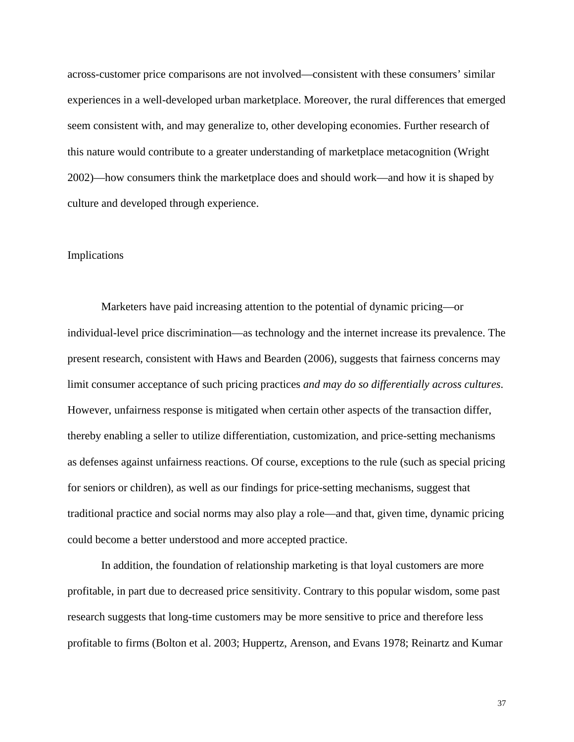across-customer price comparisons are not involved—consistent with these consumers' similar experiences in a well-developed urban marketplace. Moreover, the rural differences that emerged seem consistent with, and may generalize to, other developing economies. Further research of this nature would contribute to a greater understanding of marketplace metacognition (Wright 2002)—how consumers think the marketplace does and should work—and how it is shaped by culture and developed through experience.

#### Implications

Marketers have paid increasing attention to the potential of dynamic pricing—or individual-level price discrimination—as technology and the internet increase its prevalence. The present research, consistent with Haws and Bearden (2006), suggests that fairness concerns may limit consumer acceptance of such pricing practices *and may do so differentially across cultures*. However, unfairness response is mitigated when certain other aspects of the transaction differ, thereby enabling a seller to utilize differentiation, customization, and price-setting mechanisms as defenses against unfairness reactions. Of course, exceptions to the rule (such as special pricing for seniors or children), as well as our findings for price-setting mechanisms, suggest that traditional practice and social norms may also play a role—and that, given time, dynamic pricing could become a better understood and more accepted practice.

In addition, the foundation of relationship marketing is that loyal customers are more profitable, in part due to decreased price sensitivity. Contrary to this popular wisdom, some past research suggests that long-time customers may be more sensitive to price and therefore less profitable to firms (Bolton et al. 2003; Huppertz, Arenson, and Evans 1978; Reinartz and Kumar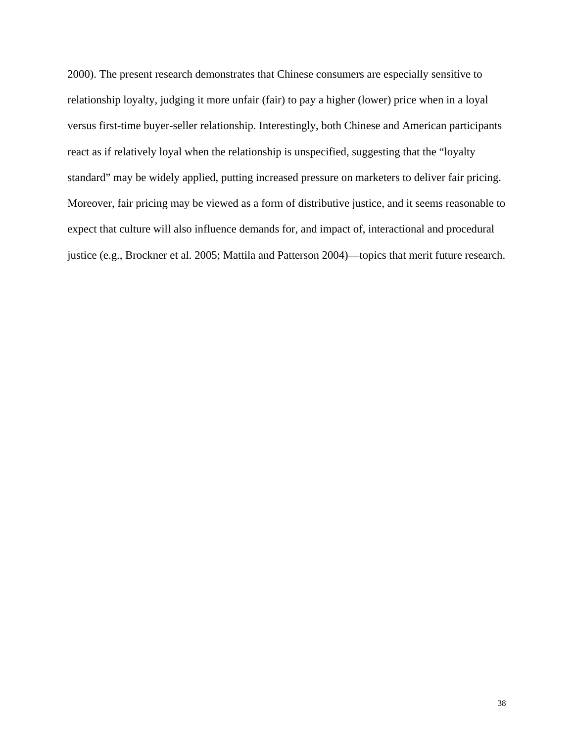2000). The present research demonstrates that Chinese consumers are especially sensitive to relationship loyalty, judging it more unfair (fair) to pay a higher (lower) price when in a loyal versus first-time buyer-seller relationship. Interestingly, both Chinese and American participants react as if relatively loyal when the relationship is unspecified, suggesting that the "loyalty standard" may be widely applied, putting increased pressure on marketers to deliver fair pricing. Moreover, fair pricing may be viewed as a form of distributive justice, and it seems reasonable to expect that culture will also influence demands for, and impact of, interactional and procedural justice (e.g., Brockner et al. 2005; Mattila and Patterson 2004)—topics that merit future research.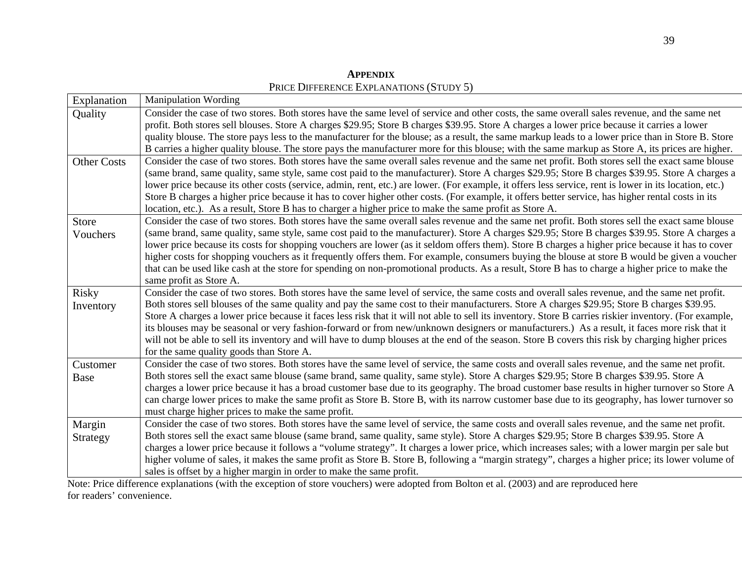Explanation | Manipulation Wording Quality Consider the case of two stores. Both stores have the same level of service and other costs, the same overall sales revenue, and the same net profit. Both stores sell blouses. Store A charges \$29.95; Store B charges \$39.95. Store A charges a lower price because it carries a lower quality blouse. The store pays less to the manufacturer for the blouse; as a result, the same markup leads to a lower price than in Store B. Store B carries a higher quality blouse. The store pays the manufacturer more for this blouse; with the same markup as Store A, its prices are higher. Other Costs Consider the case of two stores. Both stores have the same overall sales revenue and the same net profit. Both stores sell the exact same blouse (same brand, same quality, same style, same cost paid to the manufacturer). Store A charges \$29.95; Store B charges \$39.95. Store A charges a lower price because its other costs (service, admin, rent, etc.) are lower. (For example, it offers less service, rent is lower in its location, etc.) Store B charges a higher price because it has to cover higher other costs. (For example, it offers better service, has higher rental costs in its location, etc.). As a result, Store B has to charger a higher price to make the same profit as Store A. Store Vouchers Consider the case of two stores. Both stores have the same overall sales revenue and the same net profit. Both stores sell the exact same blouse (same brand, same quality, same style, same cost paid to the manufacturer). Store A charges \$29.95; Store B charges \$39.95. Store A charges a lower price because its costs for shopping vouchers are lower (as it seldom offers them). Store B charges a higher price because it has to cover higher costs for shopping vouchers as it frequently offers them. For example, consumers buying the blouse at store B would be given a voucher that can be used like cash at the store for spending on non-promotional products. As a result, Store B has to charge a higher price to make the same profit as Store A. Risky Inventory Consider the case of two stores. Both stores have the same level of service, the same costs and overall sales revenue, and the same net profit. Both stores sell blouses of the same quality and pay the same cost to their manufacturers. Store A charges \$29.95; Store B charges \$39.95. Store A charges a lower price because it faces less risk that it will not able to sell its inventory. Store B carries riskier inventory. (For example, its blouses may be seasonal or very fashion-forward or from new/unknown designers or manufacturers.) As a result, it faces more risk that it will not be able to sell its inventory and will have to dump blouses at the end of the season. Store B covers this risk by charging higher prices for the same quality goods than Store A. Customer Base Consider the case of two stores. Both stores have the same level of service, the same costs and overall sales revenue, and the same net profit. Both stores sell the exact same blouse (same brand, same quality, same style). Store A charges \$29.95; Store B charges \$39.95. Store A charges a lower price because it has a broad customer base due to its geography. The broad customer base results in higher turnover so Store A can charge lower prices to make the same profit as Store B. Store B, with its narrow customer base due to its geography, has lower turnover so must charge higher prices to make the same profit. Margin Strategy Consider the case of two stores. Both stores have the same level of service, the same costs and overall sales revenue, and the same net profit. Both stores sell the exact same blouse (same brand, same quality, same style). Store A charges \$29.95; Store B charges \$39.95. Store A charges a lower price because it follows a "volume strategy". It charges a lower price, which increases sales; with a lower margin per sale but higher volume of sales, it makes the same profit as Store B. Store B, following a "margin strategy", charges a higher price; its lower volume of sales is offset by a higher margin in order to make the same profit.

**APPENDIX**PRICE DIFFERENCE EXPLANATIONS (STUDY 5)

Note: Price difference explanations (with the exception of store vouchers) were adopted from Bolton et al. (2003) and are reproduced here for readers' convenience.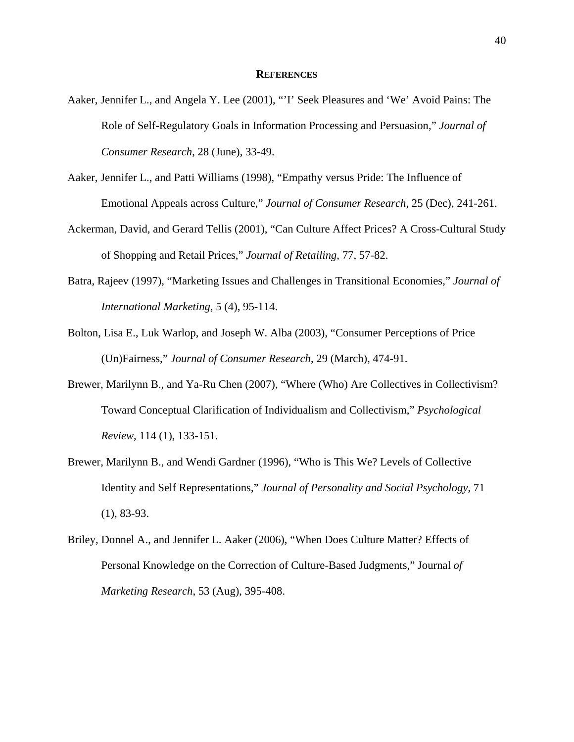#### **REFERENCES**

- Aaker, Jennifer L., and Angela Y. Lee (2001), "'I' Seek Pleasures and 'We' Avoid Pains: The Role of Self-Regulatory Goals in Information Processing and Persuasion," *Journal of Consumer Research*, 28 (June), 33-49.
- Aaker, Jennifer L., and Patti Williams (1998), "Empathy versus Pride: The Influence of Emotional Appeals across Culture," *Journal of Consumer Research*, 25 (Dec), 241-261.
- Ackerman, David, and Gerard Tellis (2001), "Can Culture Affect Prices? A Cross-Cultural Study of Shopping and Retail Prices," *Journal of Retailing*, 77, 57-82.
- Batra, Rajeev (1997), "Marketing Issues and Challenges in Transitional Economies," *Journal of International Marketing*, 5 (4), 95-114.
- Bolton, Lisa E., Luk Warlop, and Joseph W. Alba (2003), "Consumer Perceptions of Price (Un)Fairness," *Journal of Consumer Research*, 29 (March), 474-91.
- Brewer, Marilynn B., and Ya-Ru Chen (2007), "Where (Who) Are Collectives in Collectivism? Toward Conceptual Clarification of Individualism and Collectivism," *Psychological Review*, 114 (1), 133-151.
- Brewer, Marilynn B., and Wendi Gardner (1996), "Who is This We? Levels of Collective Identity and Self Representations," *Journal of Personality and Social Psychology*, 71 (1), 83-93.
- Briley, Donnel A., and Jennifer L. Aaker (2006), "When Does Culture Matter? Effects of Personal Knowledge on the Correction of Culture-Based Judgments," Journal *of Marketing Research*, 53 (Aug), 395-408.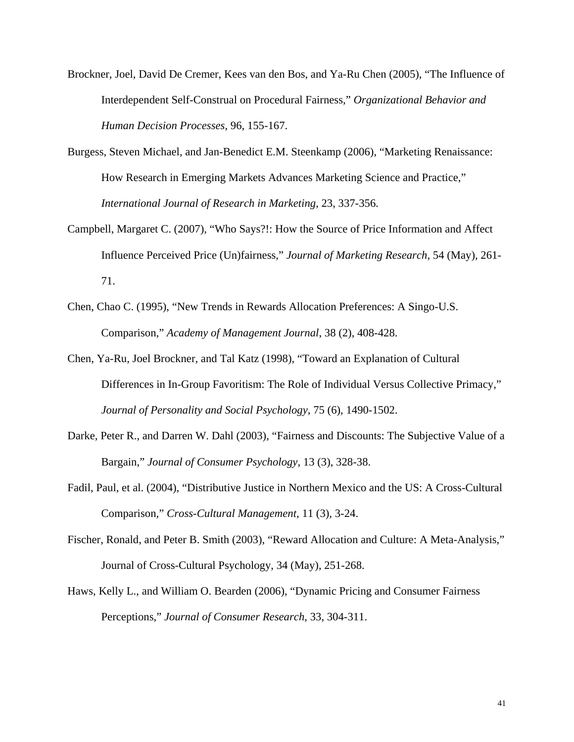- Brockner, Joel, David De Cremer, Kees van den Bos, and Ya-Ru Chen (2005), "The Influence of Interdependent Self-Construal on Procedural Fairness," *Organizational Behavior and Human Decision Processes*, 96, 155-167.
- Burgess, Steven Michael, and Jan-Benedict E.M. Steenkamp (2006), "Marketing Renaissance: How Research in Emerging Markets Advances Marketing Science and Practice," *International Journal of Research in Marketing*, 23, 337-356.
- Campbell, Margaret C. (2007), "Who Says?!: How the Source of Price Information and Affect Influence Perceived Price (Un)fairness," *Journal of Marketing Research*, 54 (May), 261- 71.
- Chen, Chao C. (1995), "New Trends in Rewards Allocation Preferences: A Singo-U.S. Comparison," *Academy of Management Journal*, 38 (2), 408-428.
- Chen, Ya-Ru, Joel Brockner, and Tal Katz (1998), "Toward an Explanation of Cultural Differences in In-Group Favoritism: The Role of Individual Versus Collective Primacy," *Journal of Personality and Social Psychology*, 75 (6), 1490-1502.
- Darke, Peter R., and Darren W. Dahl (2003), "Fairness and Discounts: The Subjective Value of a Bargain," *Journal of Consumer Psychology*, 13 (3), 328-38.
- Fadil, Paul, et al. (2004), "Distributive Justice in Northern Mexico and the US: A Cross-Cultural Comparison," *Cross-Cultural Management*, 11 (3), 3-24.
- Fischer, Ronald, and Peter B. Smith (2003), "Reward Allocation and Culture: A Meta-Analysis," Journal of Cross-Cultural Psychology, 34 (May), 251-268.
- Haws, Kelly L., and William O. Bearden (2006), "Dynamic Pricing and Consumer Fairness Perceptions," *Journal of Consumer Research*, 33, 304-311.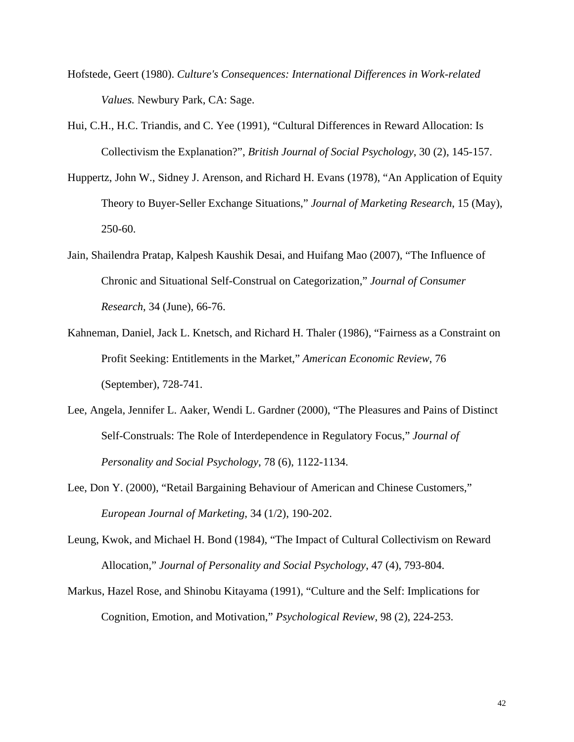- Hofstede, Geert (1980). *Culture's Consequences: International Differences in Work-related Values.* Newbury Park, CA: Sage.
- Hui, C.H., H.C. Triandis, and C. Yee (1991), "Cultural Differences in Reward Allocation: Is Collectivism the Explanation?", *British Journal of Social Psychology*, 30 (2), 145-157.
- Huppertz, John W., Sidney J. Arenson, and Richard H. Evans (1978), "An Application of Equity Theory to Buyer-Seller Exchange Situations," *Journal of Marketing Research*, 15 (May), 250-60.
- Jain, Shailendra Pratap, Kalpesh Kaushik Desai, and Huifang Mao (2007), "The Influence of Chronic and Situational Self-Construal on Categorization," *Journal of Consumer Research*, 34 (June), 66-76.
- Kahneman, Daniel, Jack L. Knetsch, and Richard H. Thaler (1986), "Fairness as a Constraint on Profit Seeking: Entitlements in the Market," *American Economic Review*, 76 (September), 728-741.
- Lee, Angela, Jennifer L. Aaker, Wendi L. Gardner (2000), "The Pleasures and Pains of Distinct Self-Construals: The Role of Interdependence in Regulatory Focus," *Journal of Personality and Social Psychology*, 78 (6), 1122-1134.
- Lee, Don Y. (2000), "Retail Bargaining Behaviour of American and Chinese Customers," *European Journal of Marketing*, 34 (1/2), 190-202.
- Leung, Kwok, and Michael H. Bond (1984), "The Impact of Cultural Collectivism on Reward Allocation," *Journal of Personality and Social Psychology*, 47 (4), 793-804.
- Markus, Hazel Rose, and Shinobu Kitayama (1991), "Culture and the Self: Implications for Cognition, Emotion, and Motivation," *Psychological Review*, 98 (2), 224-253.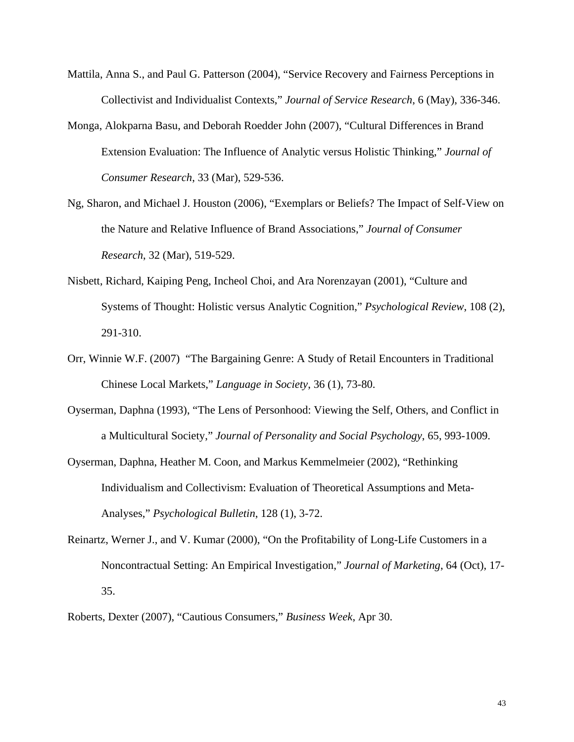- Mattila, Anna S., and Paul G. Patterson (2004), "Service Recovery and Fairness Perceptions in Collectivist and Individualist Contexts," *Journal of Service Research*, 6 (May), 336-346.
- Monga, Alokparna Basu, and Deborah Roedder John (2007), "Cultural Differences in Brand Extension Evaluation: The Influence of Analytic versus Holistic Thinking," *Journal of Consumer Research*, 33 (Mar), 529-536.
- Ng, Sharon, and Michael J. Houston (2006), "Exemplars or Beliefs? The Impact of Self-View on the Nature and Relative Influence of Brand Associations," *Journal of Consumer Research*, 32 (Mar), 519-529.
- Nisbett, Richard, Kaiping Peng, Incheol Choi, and Ara Norenzayan (2001), "Culture and Systems of Thought: Holistic versus Analytic Cognition," *Psychological Review*, 108 (2), 291-310.
- Orr, Winnie W.F. (2007) "The Bargaining Genre: A Study of Retail Encounters in Traditional Chinese Local Markets," *Language in Society*, 36 (1), 73-80.
- Oyserman, Daphna (1993), "The Lens of Personhood: Viewing the Self, Others, and Conflict in a Multicultural Society," *Journal of Personality and Social Psychology*, 65, 993-1009.
- Oyserman, Daphna, Heather M. Coon, and Markus Kemmelmeier (2002), "Rethinking Individualism and Collectivism: Evaluation of Theoretical Assumptions and Meta-Analyses," *Psychological Bulletin*, 128 (1), 3-72.
- Reinartz, Werner J., and V. Kumar (2000), "On the Profitability of Long-Life Customers in a Noncontractual Setting: An Empirical Investigation," *Journal of Marketing*, 64 (Oct), 17- 35.
- Roberts, Dexter (2007), "Cautious Consumers," *Business Week*, Apr 30.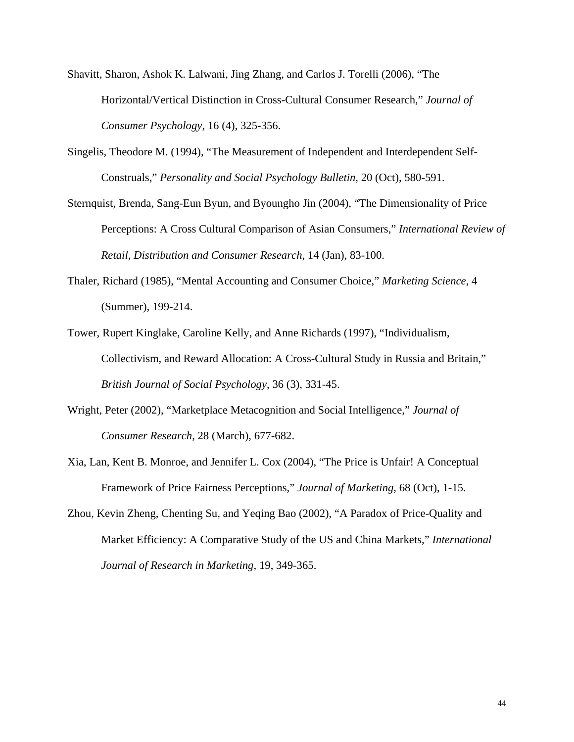- Shavitt, Sharon, Ashok K. Lalwani, Jing Zhang, and Carlos J. Torelli (2006), "The Horizontal/Vertical Distinction in Cross-Cultural Consumer Research," *Journal of Consumer Psychology*, 16 (4), 325-356.
- Singelis, Theodore M. (1994), "The Measurement of Independent and Interdependent Self-Construals," *Personality and Social Psychology Bulletin*, 20 (Oct), 580-591.
- Sternquist, Brenda, Sang-Eun Byun, and Byoungho Jin (2004), "The Dimensionality of Price Perceptions: A Cross Cultural Comparison of Asian Consumers," *International Review of Retail, Distribution and Consumer Research*, 14 (Jan), 83-100.
- Thaler, Richard (1985), "Mental Accounting and Consumer Choice," *Marketing Science*, 4 (Summer), 199-214.
- Tower, Rupert Kinglake, Caroline Kelly, and Anne Richards (1997), "Individualism, Collectivism, and Reward Allocation: A Cross-Cultural Study in Russia and Britain," *British Journal of Social Psychology*, 36 (3), 331-45.
- Wright, Peter (2002), "Marketplace Metacognition and Social Intelligence," *Journal of Consumer Research*, 28 (March), 677-682.
- Xia, Lan, Kent B. Monroe, and Jennifer L. Cox (2004), "The Price is Unfair! A Conceptual Framework of Price Fairness Perceptions," *Journal of Marketing*, 68 (Oct), 1-15.
- Zhou, Kevin Zheng, Chenting Su, and Yeqing Bao (2002), "A Paradox of Price-Quality and Market Efficiency: A Comparative Study of the US and China Markets," *International Journal of Research in Marketing*, 19, 349-365.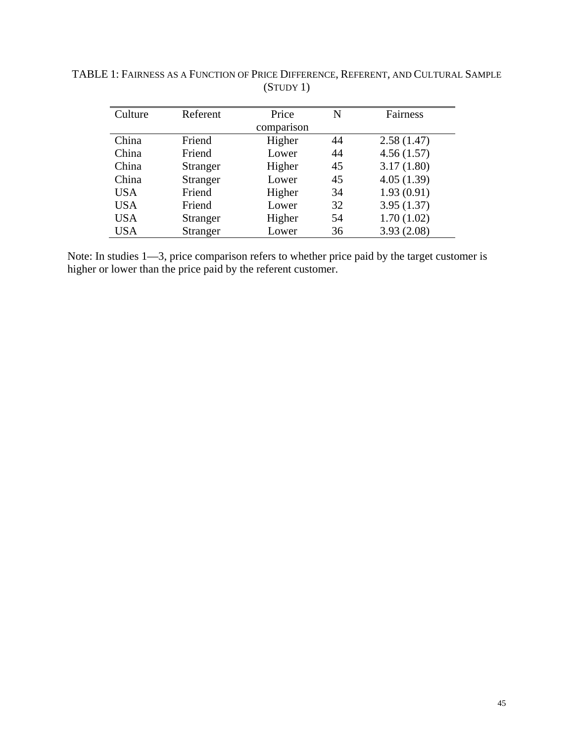| Culture    | Referent        | Price  | N  | <b>Fairness</b> |
|------------|-----------------|--------|----|-----------------|
| comparison |                 |        |    |                 |
| China      | Friend          | Higher | 44 | 2.58(1.47)      |
| China      | Friend          | Lower  | 44 | 4.56(1.57)      |
| China      | <b>Stranger</b> | Higher | 45 | 3.17(1.80)      |
| China      | Stranger        | Lower  | 45 | 4.05(1.39)      |
| <b>USA</b> | Friend          | Higher | 34 | 1.93(0.91)      |
| <b>USA</b> | Friend          | Lower  | 32 | 3.95(1.37)      |
| <b>USA</b> | Stranger        | Higher | 54 | 1.70(1.02)      |
| <b>USA</b> | Stranger        | Lower  | 36 | 3.93(2.08)      |

TABLE 1: FAIRNESS AS A FUNCTION OF PRICE DIFFERENCE, REFERENT, AND CULTURAL SAMPLE (STUDY 1)

Note: In studies  $1-3$ , price comparison refers to whether price paid by the target customer is higher or lower than the price paid by the referent customer.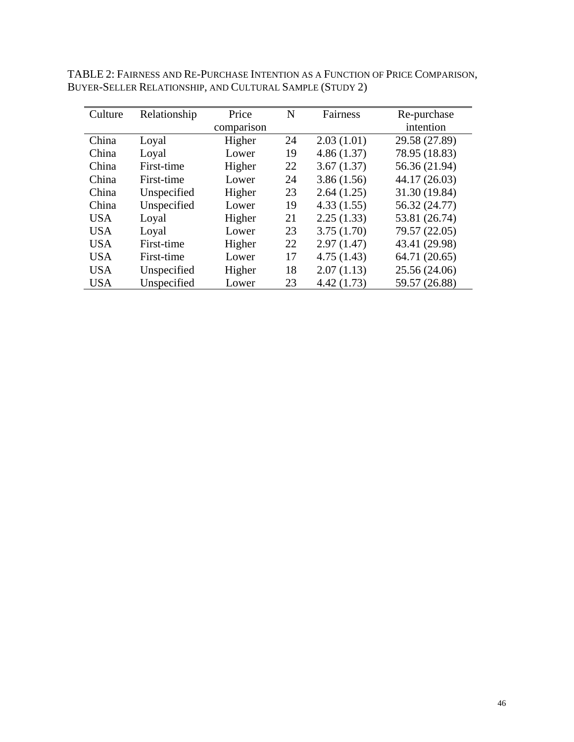| TABLE 2: FAIRNESS AND RE-PURCHASE INTENTION AS A FUNCTION OF PRICE COMPARISON, |
|--------------------------------------------------------------------------------|
| BUYER-SELLER RELATIONSHIP, AND CULTURAL SAMPLE (STUDY 2)                       |

| Culture    | Relationship | Price      | N  | Fairness   | Re-purchase   |
|------------|--------------|------------|----|------------|---------------|
|            |              | comparison |    |            | intention     |
| China      | Loyal        | Higher     | 24 | 2.03(1.01) | 29.58 (27.89) |
| China      | Loyal        | Lower      | 19 | 4.86(1.37) | 78.95 (18.83) |
| China      | First-time   | Higher     | 22 | 3.67(1.37) | 56.36 (21.94) |
| China      | First-time   | Lower      | 24 | 3.86(1.56) | 44.17 (26.03) |
| China      | Unspecified  | Higher     | 23 | 2.64(1.25) | 31.30 (19.84) |
| China      | Unspecified  | Lower      | 19 | 4.33(1.55) | 56.32 (24.77) |
| <b>USA</b> | Loyal        | Higher     | 21 | 2.25(1.33) | 53.81 (26.74) |
| <b>USA</b> | Loyal        | Lower      | 23 | 3.75(1.70) | 79.57 (22.05) |
| <b>USA</b> | First-time   | Higher     | 22 | 2.97(1.47) | 43.41 (29.98) |
| <b>USA</b> | First-time   | Lower      | 17 | 4.75(1.43) | 64.71 (20.65) |
| <b>USA</b> | Unspecified  | Higher     | 18 | 2.07(1.13) | 25.56 (24.06) |
| <b>USA</b> | Unspecified  | Lower      | 23 | 4.42(1.73) | 59.57 (26.88) |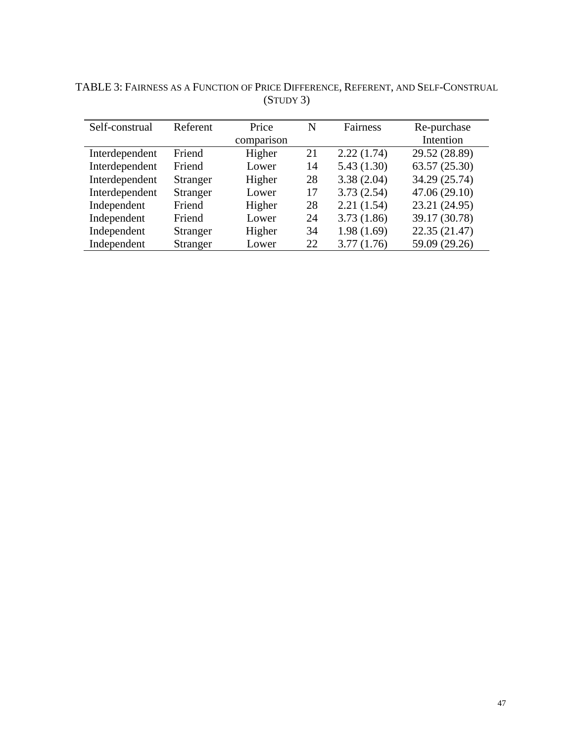| Self-construal | Referent        | Price      | N  | Fairness   | Re-purchase   |
|----------------|-----------------|------------|----|------------|---------------|
|                |                 | comparison |    |            | Intention     |
| Interdependent | Friend          | Higher     | 21 | 2.22(1.74) | 29.52 (28.89) |
| Interdependent | Friend          | Lower      | 14 | 5.43(1.30) | 63.57 (25.30) |
| Interdependent | Stranger        | Higher     | 28 | 3.38(2.04) | 34.29 (25.74) |
| Interdependent | Stranger        | Lower      | 17 | 3.73(2.54) | 47.06 (29.10) |
| Independent    | Friend          | Higher     | 28 | 2.21(1.54) | 23.21 (24.95) |
| Independent    | Friend          | Lower      | 24 | 3.73(1.86) | 39.17 (30.78) |
| Independent    | Stranger        | Higher     | 34 | 1.98(1.69) | 22.35 (21.47) |
| Independent    | <b>Stranger</b> | Lower      | 22 | 3.77(1.76) | 59.09 (29.26) |

TABLE 3: FAIRNESS AS A FUNCTION OF PRICE DIFFERENCE, REFERENT, AND SELF-CONSTRUAL (STUDY 3)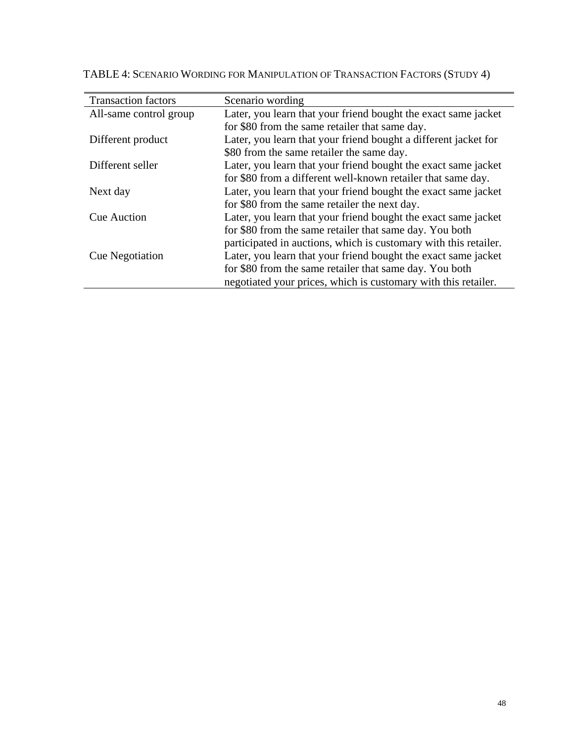| <b>Transaction factors</b> | Scenario wording                                                 |
|----------------------------|------------------------------------------------------------------|
| All-same control group     | Later, you learn that your friend bought the exact same jacket   |
|                            | for \$80 from the same retailer that same day.                   |
| Different product          | Later, you learn that your friend bought a different jacket for  |
|                            | \$80 from the same retailer the same day.                        |
| Different seller           | Later, you learn that your friend bought the exact same jacket   |
|                            | for \$80 from a different well-known retailer that same day.     |
| Next day                   | Later, you learn that your friend bought the exact same jacket   |
|                            | for \$80 from the same retailer the next day.                    |
| <b>Cue Auction</b>         | Later, you learn that your friend bought the exact same jacket   |
|                            | for \$80 from the same retailer that same day. You both          |
|                            | participated in auctions, which is customary with this retailer. |
| <b>Cue Negotiation</b>     | Later, you learn that your friend bought the exact same jacket   |
|                            | for \$80 from the same retailer that same day. You both          |
|                            | negotiated your prices, which is customary with this retailer.   |

TABLE 4: SCENARIO WORDING FOR MANIPULATION OF TRANSACTION FACTORS (STUDY 4)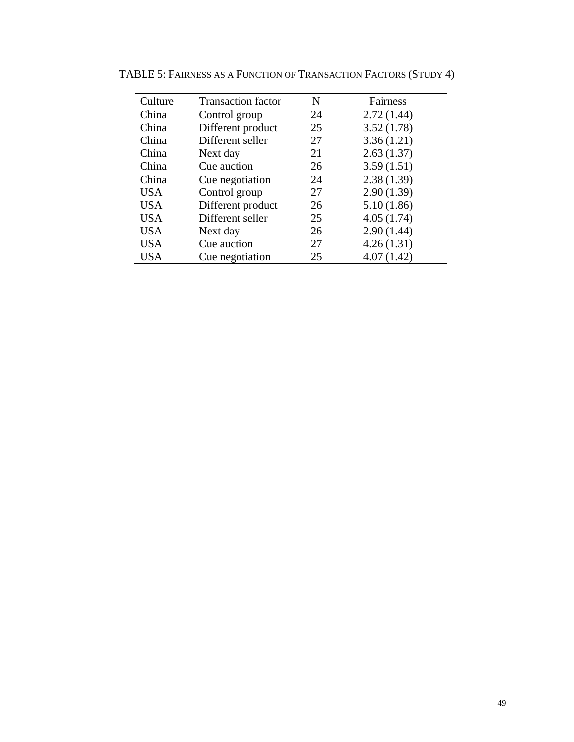| Culture    | <b>Transaction factor</b> | N  | Fairness   |
|------------|---------------------------|----|------------|
| China      | Control group             | 24 | 2.72(1.44) |
| China      | Different product         | 25 | 3.52(1.78) |
| China      | Different seller          | 27 | 3.36(1.21) |
| China      | Next day                  | 21 | 2.63(1.37) |
| China      | Cue auction               | 26 | 3.59(1.51) |
| China      | Cue negotiation           | 24 | 2.38(1.39) |
| <b>USA</b> | Control group             | 27 | 2.90(1.39) |
| <b>USA</b> | Different product         | 26 | 5.10(1.86) |
| <b>USA</b> | Different seller          | 25 | 4.05(1.74) |
| <b>USA</b> | Next day                  | 26 | 2.90(1.44) |
| <b>USA</b> | Cue auction               | 27 | 4.26(1.31) |
| <b>USA</b> | Cue negotiation           | 25 | 4.07(1.42) |

TABLE 5: FAIRNESS AS A FUNCTION OF TRANSACTION FACTORS (STUDY 4)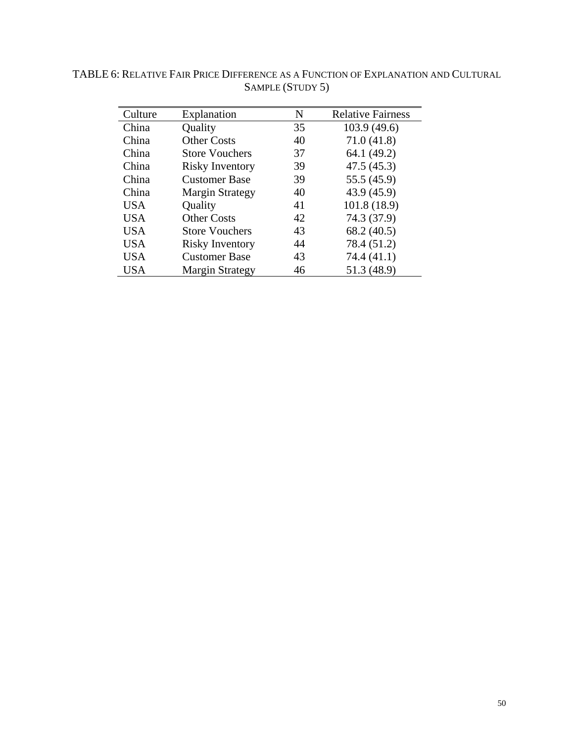| Culture    | Explanation            | N  | <b>Relative Fairness</b> |
|------------|------------------------|----|--------------------------|
| China      | Quality                | 35 | 103.9(49.6)              |
| China      | <b>Other Costs</b>     | 40 | 71.0(41.8)               |
| China      | <b>Store Vouchers</b>  | 37 | 64.1 (49.2)              |
| China      | <b>Risky Inventory</b> | 39 | 47.5(45.3)               |
| China      | <b>Customer Base</b>   | 39 | 55.5 (45.9)              |
| China      | <b>Margin Strategy</b> | 40 | 43.9 (45.9)              |
| <b>USA</b> | Quality                | 41 | 101.8 (18.9)             |
| <b>USA</b> | <b>Other Costs</b>     | 42 | 74.3 (37.9)              |
| <b>USA</b> | <b>Store Vouchers</b>  | 43 | 68.2 (40.5)              |
| <b>USA</b> | <b>Risky Inventory</b> | 44 | 78.4 (51.2)              |
| <b>USA</b> | <b>Customer Base</b>   | 43 | 74.4 (41.1)              |
| <b>USA</b> | <b>Margin Strategy</b> | 46 | 51.3 (48.9)              |

TABLE 6: RELATIVE FAIR PRICE DIFFERENCE AS A FUNCTION OF EXPLANATION AND CULTURAL SAMPLE (STUDY 5)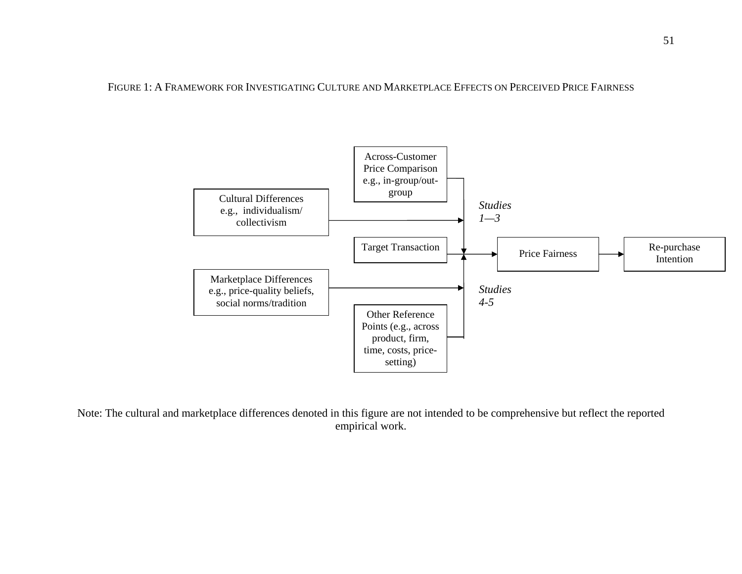FIGURE 1: A FRAMEWORK FOR INVESTIGATING CULTURE AND MARKETPLACE EFFECTS ON PERCEIVED PRICE FAIRNESS



Note: The cultural and marketplace differences denoted in this figure are not intended to be comprehensive but reflect the reported empirical work.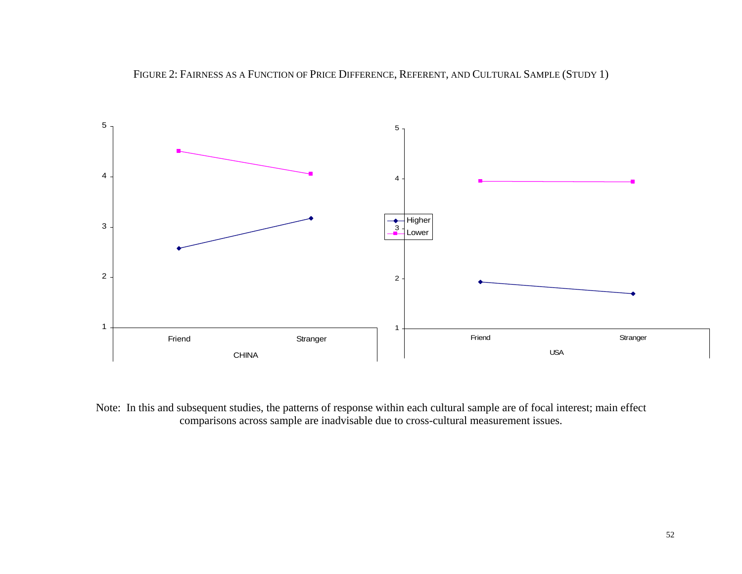

Note: In this and subsequent studies, the patterns of response within each cultural sample are of focal interest; main effect comparisons across sample are inadvisable due to cross-cultural measurement issues.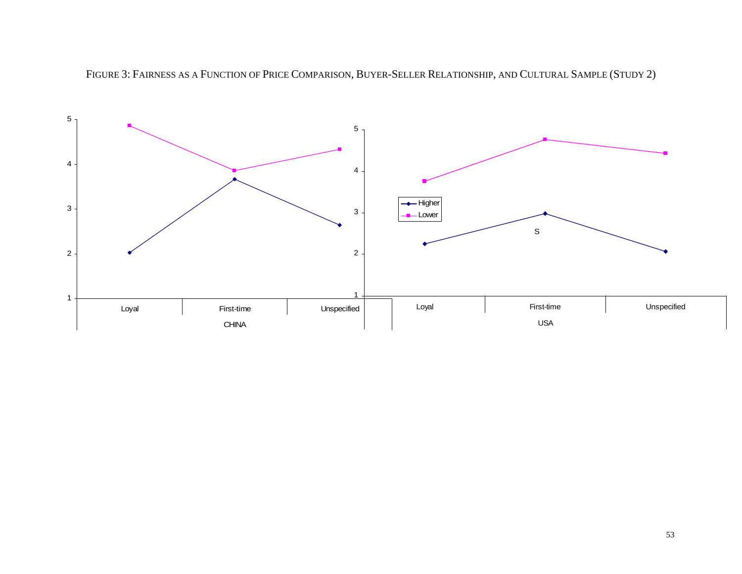

FIGURE 3: FAIRNESS AS A FUNCTION OF PRICE COMPARISON, BUYER-SELLER RELATIONSHIP, AND CULTURAL SAMPLE (STUDY 2)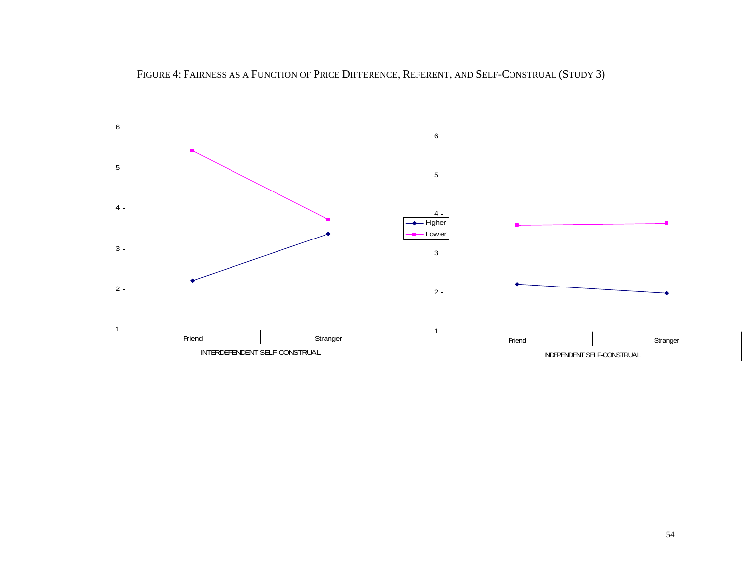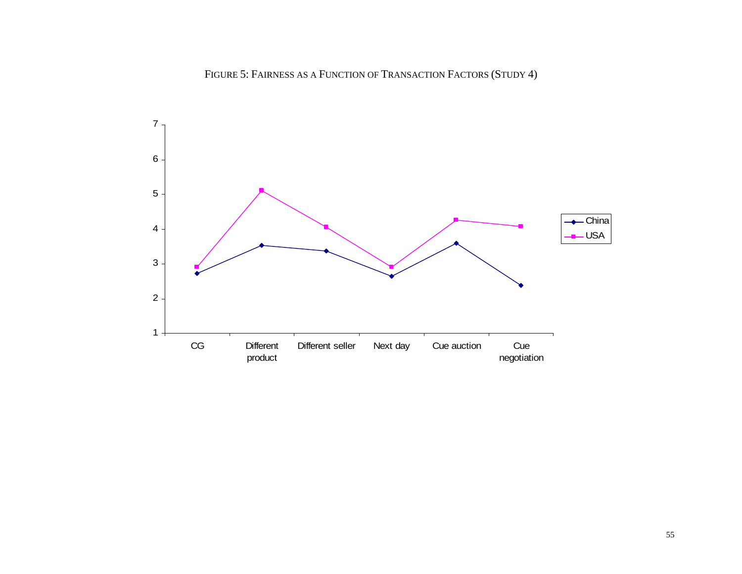#### FIGURE 5: FAIRNESS AS A FUNCTION OF TRANSACTION FACTORS (STUDY 4)